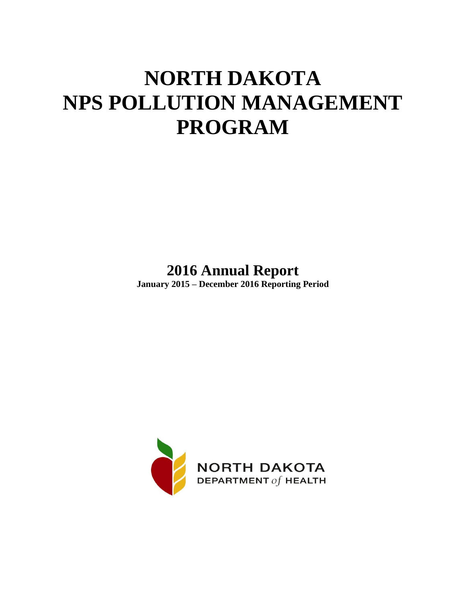# **NORTH DAKOTA NPS POLLUTION MANAGEMENT PROGRAM**

**2016 Annual Report**

**January 2015 – December 2016 Reporting Period** 

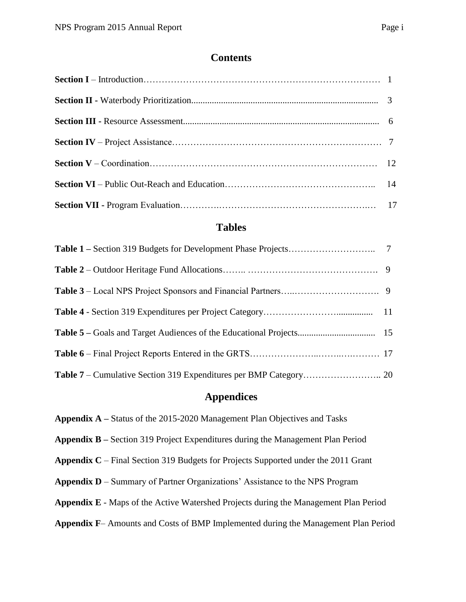#### **Contents**

# **Tables**

#### **Appendices**

**Appendix A –** Status of the 2015-2020 Management Plan Objectives and Tasks

**Appendix B –** Section 319 Project Expenditures during the Management Plan Period

**Appendix C** – Final Section 319 Budgets for Projects Supported under the 2011 Grant

**Appendix D** – Summary of Partner Organizations' Assistance to the NPS Program

**Appendix E** - Maps of the Active Watershed Projects during the Management Plan Period

**Appendix F**– Amounts and Costs of BMP Implemented during the Management Plan Period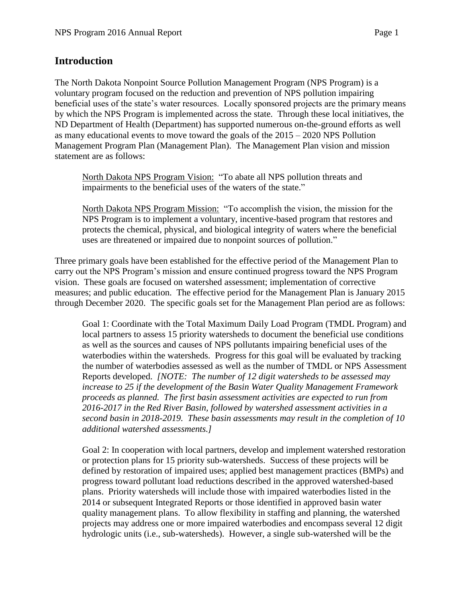### **Introduction**

The North Dakota Nonpoint Source Pollution Management Program (NPS Program) is a voluntary program focused on the reduction and prevention of NPS pollution impairing beneficial uses of the state's water resources. Locally sponsored projects are the primary means by which the NPS Program is implemented across the state. Through these local initiatives, the ND Department of Health (Department) has supported numerous on-the-ground efforts as well as many educational events to move toward the goals of the 2015 – 2020 NPS Pollution Management Program Plan (Management Plan). The Management Plan vision and mission statement are as follows:

North Dakota NPS Program Vision: "To abate all NPS pollution threats and impairments to the beneficial uses of the waters of the state."

North Dakota NPS Program Mission: "To accomplish the vision, the mission for the NPS Program is to implement a voluntary, incentive-based program that restores and protects the chemical, physical, and biological integrity of waters where the beneficial uses are threatened or impaired due to nonpoint sources of pollution."

Three primary goals have been established for the effective period of the Management Plan to carry out the NPS Program's mission and ensure continued progress toward the NPS Program vision. These goals are focused on watershed assessment; implementation of corrective measures; and public education. The effective period for the Management Plan is January 2015 through December 2020. The specific goals set for the Management Plan period are as follows:

Goal 1: Coordinate with the Total Maximum Daily Load Program (TMDL Program) and local partners to assess 15 priority watersheds to document the beneficial use conditions as well as the sources and causes of NPS pollutants impairing beneficial uses of the waterbodies within the watersheds. Progress for this goal will be evaluated by tracking the number of waterbodies assessed as well as the number of TMDL or NPS Assessment Reports developed. *[NOTE: The number of 12 digit watersheds to be assessed may increase to 25 if the development of the Basin Water Quality Management Framework proceeds as planned. The first basin assessment activities are expected to run from 2016-2017 in the Red River Basin, followed by watershed assessment activities in a second basin in 2018-2019. These basin assessments may result in the completion of 10 additional watershed assessments.]* 

Goal 2: In cooperation with local partners, develop and implement watershed restoration or protection plans for 15 priority sub-watersheds. Success of these projects will be defined by restoration of impaired uses; applied best management practices (BMPs) and progress toward pollutant load reductions described in the approved watershed-based plans. Priority watersheds will include those with impaired waterbodies listed in the 2014 or subsequent Integrated Reports or those identified in approved basin water quality management plans. To allow flexibility in staffing and planning, the watershed projects may address one or more impaired waterbodies and encompass several 12 digit hydrologic units (i.e., sub-watersheds). However, a single sub-watershed will be the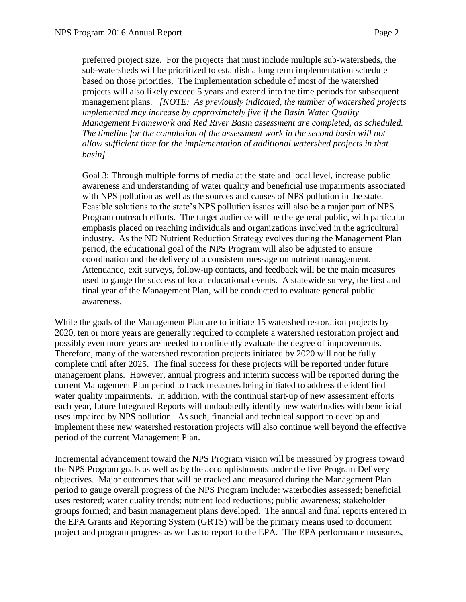preferred project size. For the projects that must include multiple sub-watersheds, the sub-watersheds will be prioritized to establish a long term implementation schedule based on those priorities. The implementation schedule of most of the watershed projects will also likely exceed 5 years and extend into the time periods for subsequent management plans*. [NOTE: As previously indicated, the number of watershed projects implemented may increase by approximately five if the Basin Water Quality Management Framework and Red River Basin assessment are completed, as scheduled. The timeline for the completion of the assessment work in the second basin will not allow sufficient time for the implementation of additional watershed projects in that basin]* 

Goal 3: Through multiple forms of media at the state and local level, increase public awareness and understanding of water quality and beneficial use impairments associated with NPS pollution as well as the sources and causes of NPS pollution in the state. Feasible solutions to the state's NPS pollution issues will also be a major part of NPS Program outreach efforts. The target audience will be the general public, with particular emphasis placed on reaching individuals and organizations involved in the agricultural industry. As the ND Nutrient Reduction Strategy evolves during the Management Plan period, the educational goal of the NPS Program will also be adjusted to ensure coordination and the delivery of a consistent message on nutrient management. Attendance, exit surveys, follow-up contacts, and feedback will be the main measures used to gauge the success of local educational events. A statewide survey, the first and final year of the Management Plan, will be conducted to evaluate general public awareness.

While the goals of the Management Plan are to initiate 15 watershed restoration projects by 2020, ten or more years are generally required to complete a watershed restoration project and possibly even more years are needed to confidently evaluate the degree of improvements. Therefore, many of the watershed restoration projects initiated by 2020 will not be fully complete until after 2025. The final success for these projects will be reported under future management plans. However, annual progress and interim success will be reported during the current Management Plan period to track measures being initiated to address the identified water quality impairments. In addition, with the continual start-up of new assessment efforts each year, future Integrated Reports will undoubtedly identify new waterbodies with beneficial uses impaired by NPS pollution. As such, financial and technical support to develop and implement these new watershed restoration projects will also continue well beyond the effective period of the current Management Plan.

Incremental advancement toward the NPS Program vision will be measured by progress toward the NPS Program goals as well as by the accomplishments under the five Program Delivery objectives. Major outcomes that will be tracked and measured during the Management Plan period to gauge overall progress of the NPS Program include: waterbodies assessed; beneficial uses restored; water quality trends; nutrient load reductions; public awareness; stakeholder groups formed; and basin management plans developed. The annual and final reports entered in the EPA Grants and Reporting System (GRTS) will be the primary means used to document project and program progress as well as to report to the EPA. The EPA performance measures,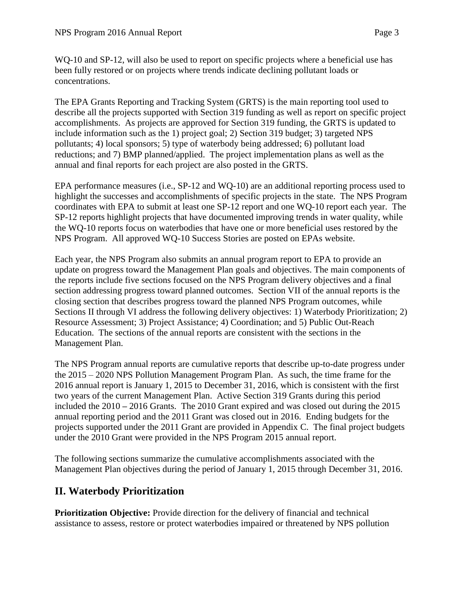WQ-10 and SP-12, will also be used to report on specific projects where a beneficial use has been fully restored or on projects where trends indicate declining pollutant loads or concentrations.

The EPA Grants Reporting and Tracking System (GRTS) is the main reporting tool used to describe all the projects supported with Section 319 funding as well as report on specific project accomplishments. As projects are approved for Section 319 funding, the GRTS is updated to include information such as the 1) project goal; 2) Section 319 budget; 3) targeted NPS pollutants; 4) local sponsors; 5) type of waterbody being addressed; 6) pollutant load reductions; and 7) BMP planned/applied. The project implementation plans as well as the annual and final reports for each project are also posted in the GRTS.

EPA performance measures (i.e., SP-12 and WQ-10) are an additional reporting process used to highlight the successes and accomplishments of specific projects in the state. The NPS Program coordinates with EPA to submit at least one SP-12 report and one WQ-10 report each year. The SP-12 reports highlight projects that have documented improving trends in water quality, while the WQ-10 reports focus on waterbodies that have one or more beneficial uses restored by the NPS Program. All approved WQ-10 Success Stories are posted on EPAs website.

Each year, the NPS Program also submits an annual program report to EPA to provide an update on progress toward the Management Plan goals and objectives. The main components of the reports include five sections focused on the NPS Program delivery objectives and a final section addressing progress toward planned outcomes. Section VII of the annual reports is the closing section that describes progress toward the planned NPS Program outcomes, while Sections II through VI address the following delivery objectives: 1) Waterbody Prioritization; 2) Resource Assessment; 3) Project Assistance; 4) Coordination; and 5) Public Out-Reach Education. The sections of the annual reports are consistent with the sections in the Management Plan.

The NPS Program annual reports are cumulative reports that describe up-to-date progress under the 2015 – 2020 NPS Pollution Management Program Plan. As such, the time frame for the 2016 annual report is January 1, 2015 to December 31, 2016, which is consistent with the first two years of the current Management Plan. Active Section 319 Grants during this period included the 2010 **–** 2016 Grants. The 2010 Grant expired and was closed out during the 2015 annual reporting period and the 2011 Grant was closed out in 2016. Ending budgets for the projects supported under the 2011 Grant are provided in Appendix C. The final project budgets under the 2010 Grant were provided in the NPS Program 2015 annual report.

The following sections summarize the cumulative accomplishments associated with the Management Plan objectives during the period of January 1, 2015 through December 31, 2016.

# **II. Waterbody Prioritization**

**Prioritization Objective:** Provide direction for the delivery of financial and technical assistance to assess, restore or protect waterbodies impaired or threatened by NPS pollution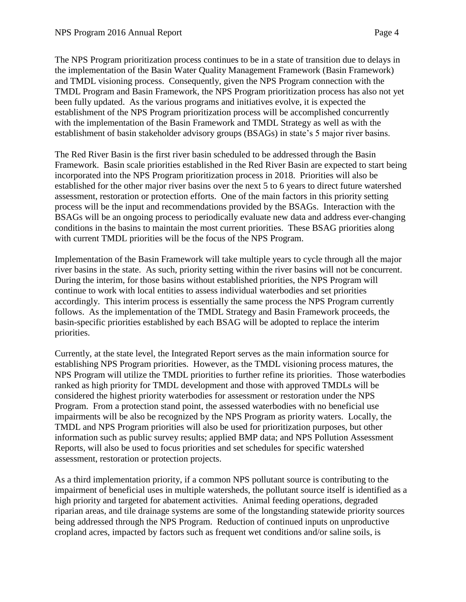The NPS Program prioritization process continues to be in a state of transition due to delays in the implementation of the Basin Water Quality Management Framework (Basin Framework) and TMDL visioning process. Consequently, given the NPS Program connection with the TMDL Program and Basin Framework, the NPS Program prioritization process has also not yet been fully updated. As the various programs and initiatives evolve, it is expected the establishment of the NPS Program prioritization process will be accomplished concurrently with the implementation of the Basin Framework and TMDL Strategy as well as with the establishment of basin stakeholder advisory groups (BSAGs) in state's 5 major river basins.

The Red River Basin is the first river basin scheduled to be addressed through the Basin Framework. Basin scale priorities established in the Red River Basin are expected to start being incorporated into the NPS Program prioritization process in 2018. Priorities will also be established for the other major river basins over the next 5 to 6 years to direct future watershed assessment, restoration or protection efforts. One of the main factors in this priority setting process will be the input and recommendations provided by the BSAGs. Interaction with the BSAGs will be an ongoing process to periodically evaluate new data and address ever-changing conditions in the basins to maintain the most current priorities. These BSAG priorities along with current TMDL priorities will be the focus of the NPS Program.

Implementation of the Basin Framework will take multiple years to cycle through all the major river basins in the state. As such, priority setting within the river basins will not be concurrent. During the interim, for those basins without established priorities, the NPS Program will continue to work with local entities to assess individual waterbodies and set priorities accordingly. This interim process is essentially the same process the NPS Program currently follows. As the implementation of the TMDL Strategy and Basin Framework proceeds, the basin-specific priorities established by each BSAG will be adopted to replace the interim priorities.

Currently, at the state level, the Integrated Report serves as the main information source for establishing NPS Program priorities. However, as the TMDL visioning process matures, the NPS Program will utilize the TMDL priorities to further refine its priorities. Those waterbodies ranked as high priority for TMDL development and those with approved TMDLs will be considered the highest priority waterbodies for assessment or restoration under the NPS Program. From a protection stand point, the assessed waterbodies with no beneficial use impairments will be also be recognized by the NPS Program as priority waters. Locally, the TMDL and NPS Program priorities will also be used for prioritization purposes, but other information such as public survey results; applied BMP data; and NPS Pollution Assessment Reports, will also be used to focus priorities and set schedules for specific watershed assessment, restoration or protection projects.

As a third implementation priority, if a common NPS pollutant source is contributing to the impairment of beneficial uses in multiple watersheds, the pollutant source itself is identified as a high priority and targeted for abatement activities. Animal feeding operations, degraded riparian areas, and tile drainage systems are some of the longstanding statewide priority sources being addressed through the NPS Program. Reduction of continued inputs on unproductive cropland acres, impacted by factors such as frequent wet conditions and/or saline soils, is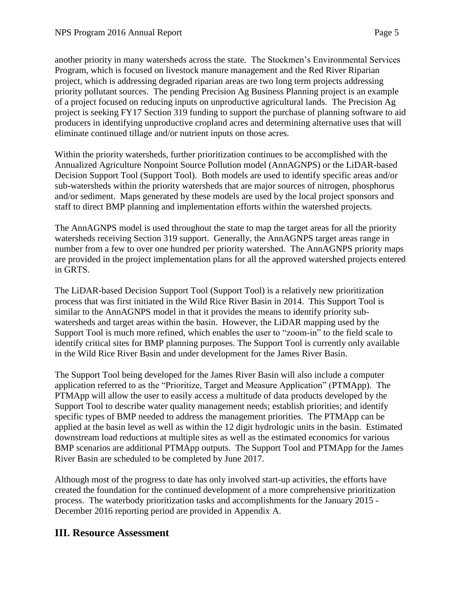another priority in many watersheds across the state. The Stockmen's Environmental Services Program, which is focused on livestock manure management and the Red River Riparian project, which is addressing degraded riparian areas are two long term projects addressing priority pollutant sources. The pending Precision Ag Business Planning project is an example of a project focused on reducing inputs on unproductive agricultural lands. The Precision Ag project is seeking FY17 Section 319 funding to support the purchase of planning software to aid producers in identifying unproductive cropland acres and determining alternative uses that will eliminate continued tillage and/or nutrient inputs on those acres.

Within the priority watersheds, further prioritization continues to be accomplished with the Annualized Agriculture Nonpoint Source Pollution model (AnnAGNPS) or the LiDAR-based Decision Support Tool (Support Tool). Both models are used to identify specific areas and/or sub-watersheds within the priority watersheds that are major sources of nitrogen, phosphorus and/or sediment. Maps generated by these models are used by the local project sponsors and staff to direct BMP planning and implementation efforts within the watershed projects.

The AnnAGNPS model is used throughout the state to map the target areas for all the priority watersheds receiving Section 319 support. Generally, the AnnAGNPS target areas range in number from a few to over one hundred per priority watershed. The AnnAGNPS priority maps are provided in the project implementation plans for all the approved watershed projects entered in GRTS.

The LiDAR-based Decision Support Tool (Support Tool) is a relatively new prioritization process that was first initiated in the Wild Rice River Basin in 2014. This Support Tool is similar to the AnnAGNPS model in that it provides the means to identify priority subwatersheds and target areas within the basin. However, the LiDAR mapping used by the Support Tool is much more refined, which enables the user to "zoom-in" to the field scale to identify critical sites for BMP planning purposes. The Support Tool is currently only available in the Wild Rice River Basin and under development for the James River Basin.

The Support Tool being developed for the James River Basin will also include a computer application referred to as the "Prioritize, Target and Measure Application" (PTMApp). The PTMApp will allow the user to easily access a multitude of data products developed by the Support Tool to describe water quality management needs; establish priorities; and identify specific types of BMP needed to address the management priorities. The PTMApp can be applied at the basin level as well as within the 12 digit hydrologic units in the basin. Estimated downstream load reductions at multiple sites as well as the estimated economics for various BMP scenarios are additional PTMApp outputs. The Support Tool and PTMApp for the James River Basin are scheduled to be completed by June 2017.

Although most of the progress to date has only involved start-up activities, the efforts have created the foundation for the continued development of a more comprehensive prioritization process. The waterbody prioritization tasks and accomplishments for the January 2015 - December 2016 reporting period are provided in Appendix A.

## **III. Resource Assessment**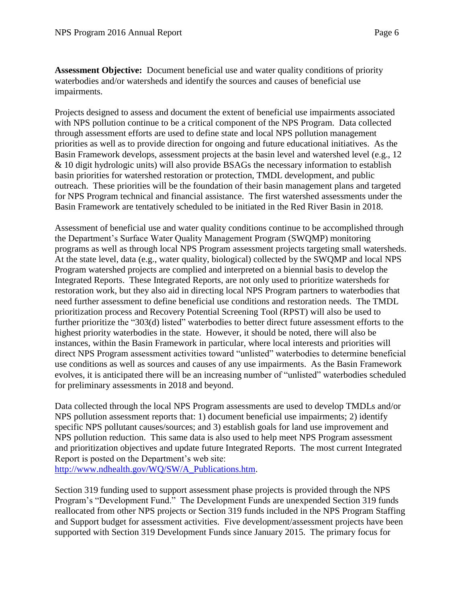**Assessment Objective:** Document beneficial use and water quality conditions of priority waterbodies and/or watersheds and identify the sources and causes of beneficial use impairments.

Projects designed to assess and document the extent of beneficial use impairments associated with NPS pollution continue to be a critical component of the NPS Program. Data collected through assessment efforts are used to define state and local NPS pollution management priorities as well as to provide direction for ongoing and future educational initiatives. As the Basin Framework develops, assessment projects at the basin level and watershed level (e.g., 12 & 10 digit hydrologic units) will also provide BSAGs the necessary information to establish basin priorities for watershed restoration or protection, TMDL development, and public outreach. These priorities will be the foundation of their basin management plans and targeted for NPS Program technical and financial assistance. The first watershed assessments under the Basin Framework are tentatively scheduled to be initiated in the Red River Basin in 2018.

Assessment of beneficial use and water quality conditions continue to be accomplished through the Department's Surface Water Quality Management Program (SWQMP) monitoring programs as well as through local NPS Program assessment projects targeting small watersheds. At the state level, data (e.g., water quality, biological) collected by the SWQMP and local NPS Program watershed projects are complied and interpreted on a biennial basis to develop the Integrated Reports. These Integrated Reports, are not only used to prioritize watersheds for restoration work, but they also aid in directing local NPS Program partners to waterbodies that need further assessment to define beneficial use conditions and restoration needs. The TMDL prioritization process and Recovery Potential Screening Tool (RPST) will also be used to further prioritize the "303(d) listed" waterbodies to better direct future assessment efforts to the highest priority waterbodies in the state. However, it should be noted, there will also be instances, within the Basin Framework in particular, where local interests and priorities will direct NPS Program assessment activities toward "unlisted" waterbodies to determine beneficial use conditions as well as sources and causes of any use impairments. As the Basin Framework evolves, it is anticipated there will be an increasing number of "unlisted" waterbodies scheduled for preliminary assessments in 2018 and beyond.

Data collected through the local NPS Program assessments are used to develop TMDLs and/or NPS pollution assessment reports that: 1) document beneficial use impairments; 2) identify specific NPS pollutant causes/sources; and 3) establish goals for land use improvement and NPS pollution reduction. This same data is also used to help meet NPS Program assessment and prioritization objectives and update future Integrated Reports. The most current Integrated Report is posted on the Department's web site:

[http://www.ndhealth.gov/WQ/SW/A\\_Publications.htm.](http://www.ndhealth.gov/WQ/SW/A_Publications.htm)

Section 319 funding used to support assessment phase projects is provided through the NPS Program's "Development Fund." The Development Funds are unexpended Section 319 funds reallocated from other NPS projects or Section 319 funds included in the NPS Program Staffing and Support budget for assessment activities. Five development/assessment projects have been supported with Section 319 Development Funds since January 2015. The primary focus for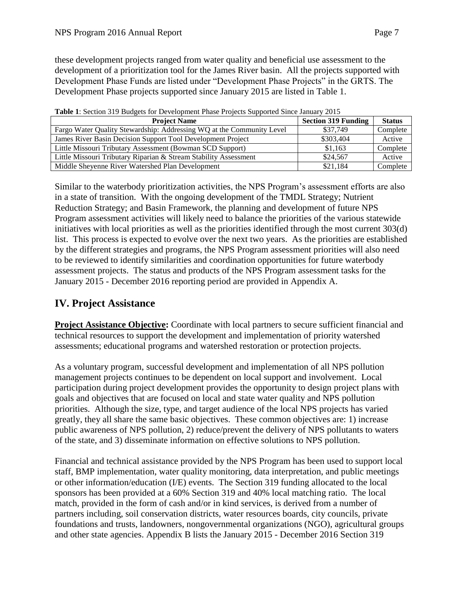these development projects ranged from water quality and beneficial use assessment to the development of a prioritization tool for the James River basin. All the projects supported with Development Phase Funds are listed under "Development Phase Projects" in the GRTS. The Development Phase projects supported since January 2015 are listed in Table 1.

| <b>Project Name</b>                                                   | <b>Section 319 Funding</b> | <b>Status</b> |
|-----------------------------------------------------------------------|----------------------------|---------------|
| Fargo Water Quality Stewardship: Addressing WQ at the Community Level | \$37,749                   | Complete      |
| James River Basin Decision Support Tool Development Project           | \$303,404                  | Active        |
| Little Missouri Tributary Assessment (Bowman SCD Support)             | \$1.163                    | Complete      |
| Little Missouri Tributary Riparian & Stream Stability Assessment      | \$24,567                   | Active        |
| Middle Sheyenne River Watershed Plan Development                      | \$21.184                   | Complete      |

**Table 1**: Section 319 Budgets for Development Phase Projects Supported Since January 2015

Similar to the waterbody prioritization activities, the NPS Program's assessment efforts are also in a state of transition. With the ongoing development of the TMDL Strategy; Nutrient Reduction Strategy; and Basin Framework, the planning and development of future NPS Program assessment activities will likely need to balance the priorities of the various statewide initiatives with local priorities as well as the priorities identified through the most current 303(d) list. This process is expected to evolve over the next two years. As the priorities are established by the different strategies and programs, the NPS Program assessment priorities will also need to be reviewed to identify similarities and coordination opportunities for future waterbody assessment projects. The status and products of the NPS Program assessment tasks for the January 2015 - December 2016 reporting period are provided in Appendix A.

# **IV. Project Assistance**

**Project Assistance Objective:** Coordinate with local partners to secure sufficient financial and technical resources to support the development and implementation of priority watershed assessments; educational programs and watershed restoration or protection projects.

As a voluntary program, successful development and implementation of all NPS pollution management projects continues to be dependent on local support and involvement. Local participation during project development provides the opportunity to design project plans with goals and objectives that are focused on local and state water quality and NPS pollution priorities. Although the size, type, and target audience of the local NPS projects has varied greatly, they all share the same basic objectives. These common objectives are: 1) increase public awareness of NPS pollution, 2) reduce/prevent the delivery of NPS pollutants to waters of the state, and 3) disseminate information on effective solutions to NPS pollution.

Financial and technical assistance provided by the NPS Program has been used to support local staff, BMP implementation, water quality monitoring, data interpretation, and public meetings or other information/education (I/E) events. The Section 319 funding allocated to the local sponsors has been provided at a 60% Section 319 and 40% local matching ratio. The local match, provided in the form of cash and/or in kind services, is derived from a number of partners including, soil conservation districts, water resources boards, city councils, private foundations and trusts, landowners, nongovernmental organizations (NGO), agricultural groups and other state agencies. Appendix B lists the January 2015 - December 2016 Section 319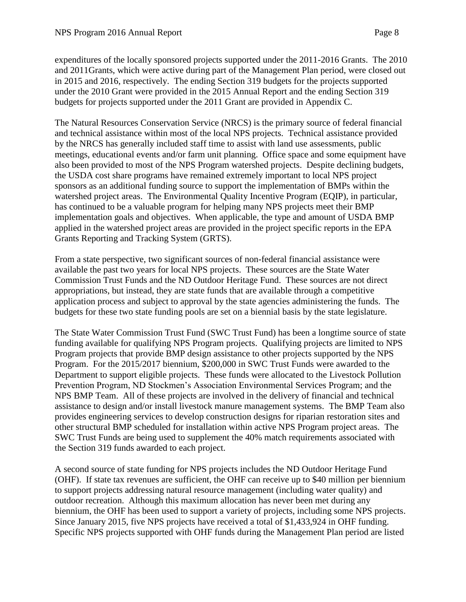expenditures of the locally sponsored projects supported under the 2011-2016 Grants. The 2010 and 2011Grants, which were active during part of the Management Plan period, were closed out in 2015 and 2016, respectively. The ending Section 319 budgets for the projects supported under the 2010 Grant were provided in the 2015 Annual Report and the ending Section 319 budgets for projects supported under the 2011 Grant are provided in Appendix C.

The Natural Resources Conservation Service (NRCS) is the primary source of federal financial and technical assistance within most of the local NPS projects. Technical assistance provided by the NRCS has generally included staff time to assist with land use assessments, public meetings, educational events and/or farm unit planning. Office space and some equipment have also been provided to most of the NPS Program watershed projects. Despite declining budgets, the USDA cost share programs have remained extremely important to local NPS project sponsors as an additional funding source to support the implementation of BMPs within the watershed project areas. The Environmental Quality Incentive Program (EQIP), in particular, has continued to be a valuable program for helping many NPS projects meet their BMP implementation goals and objectives. When applicable, the type and amount of USDA BMP applied in the watershed project areas are provided in the project specific reports in the EPA Grants Reporting and Tracking System (GRTS).

From a state perspective, two significant sources of non-federal financial assistance were available the past two years for local NPS projects. These sources are the State Water Commission Trust Funds and the ND Outdoor Heritage Fund. These sources are not direct appropriations, but instead, they are state funds that are available through a competitive application process and subject to approval by the state agencies administering the funds. The budgets for these two state funding pools are set on a biennial basis by the state legislature.

The State Water Commission Trust Fund (SWC Trust Fund) has been a longtime source of state funding available for qualifying NPS Program projects. Qualifying projects are limited to NPS Program projects that provide BMP design assistance to other projects supported by the NPS Program. For the 2015/2017 biennium, \$200,000 in SWC Trust Funds were awarded to the Department to support eligible projects. These funds were allocated to the Livestock Pollution Prevention Program, ND Stockmen's Association Environmental Services Program; and the NPS BMP Team. All of these projects are involved in the delivery of financial and technical assistance to design and/or install livestock manure management systems. The BMP Team also provides engineering services to develop construction designs for riparian restoration sites and other structural BMP scheduled for installation within active NPS Program project areas. The SWC Trust Funds are being used to supplement the 40% match requirements associated with the Section 319 funds awarded to each project.

A second source of state funding for NPS projects includes the ND Outdoor Heritage Fund (OHF). If state tax revenues are sufficient, the OHF can receive up to \$40 million per biennium to support projects addressing natural resource management (including water quality) and outdoor recreation. Although this maximum allocation has never been met during any biennium, the OHF has been used to support a variety of projects, including some NPS projects. Since January 2015, five NPS projects have received a total of \$1,433,924 in OHF funding. Specific NPS projects supported with OHF funds during the Management Plan period are listed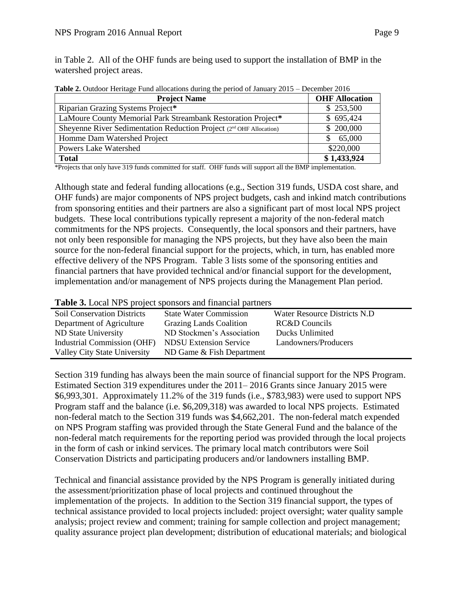in Table 2. All of the OHF funds are being used to support the installation of BMP in the watershed project areas.

| <b>Project Name</b>                                                             | <b>OHF Allocation</b> |
|---------------------------------------------------------------------------------|-----------------------|
| Riparian Grazing Systems Project*                                               | \$253,500             |
| LaMoure County Memorial Park Streambank Restoration Project*                    | \$695,424             |
| Sheyenne River Sedimentation Reduction Project (2 <sup>nd</sup> OHF Allocation) | \$200,000             |
| Homme Dam Watershed Project                                                     | 65,000                |
| <b>Powers Lake Watershed</b>                                                    | \$220,000             |
| <b>Total</b>                                                                    | \$1,433,924           |

**Table 2.** Outdoor Heritage Fund allocations during the period of January 2015 – December 2016

\*Projects that only have 319 funds committed for staff. OHF funds will support all the BMP implementation.

Although state and federal funding allocations (e.g., Section 319 funds, USDA cost share, and OHF funds) are major components of NPS project budgets, cash and inkind match contributions from sponsoring entities and their partners are also a significant part of most local NPS project budgets. These local contributions typically represent a majority of the non-federal match commitments for the NPS projects. Consequently, the local sponsors and their partners, have not only been responsible for managing the NPS projects, but they have also been the main source for the non-federal financial support for the projects, which, in turn, has enabled more effective delivery of the NPS Program. Table 3 lists some of the sponsoring entities and financial partners that have provided technical and/or financial support for the development, implementation and/or management of NPS projects during the Management Plan period.

|  | Table 3. Local NPS project sponsors and financial partners |  |
|--|------------------------------------------------------------|--|
|--|------------------------------------------------------------|--|

| <b>Soil Conservation Districts</b> | <b>State Water Commission</b>  | Water Resource Districts N.D. |
|------------------------------------|--------------------------------|-------------------------------|
| Department of Agriculture          | <b>Grazing Lands Coalition</b> | RC&D Councils                 |
| ND State University                | ND Stockmen's Association      | Ducks Unlimited               |
| Industrial Commission (OHF)        | <b>NDSU Extension Service</b>  | Landowners/Producers          |
| Valley City State University       | ND Game & Fish Department      |                               |

Section 319 funding has always been the main source of financial support for the NPS Program. Estimated Section 319 expenditures under the 2011– 2016 Grants since January 2015 were \$6,993,301. Approximately 11.2% of the 319 funds (i.e., \$783,983) were used to support NPS Program staff and the balance (i.e. \$6,209,318) was awarded to local NPS projects. Estimated non-federal match to the Section 319 funds was \$4,662,201. The non-federal match expended on NPS Program staffing was provided through the State General Fund and the balance of the non-federal match requirements for the reporting period was provided through the local projects in the form of cash or inkind services. The primary local match contributors were Soil Conservation Districts and participating producers and/or landowners installing BMP.

Technical and financial assistance provided by the NPS Program is generally initiated during the assessment/prioritization phase of local projects and continued throughout the implementation of the projects. In addition to the Section 319 financial support, the types of technical assistance provided to local projects included: project oversight; water quality sample analysis; project review and comment; training for sample collection and project management; quality assurance project plan development; distribution of educational materials; and biological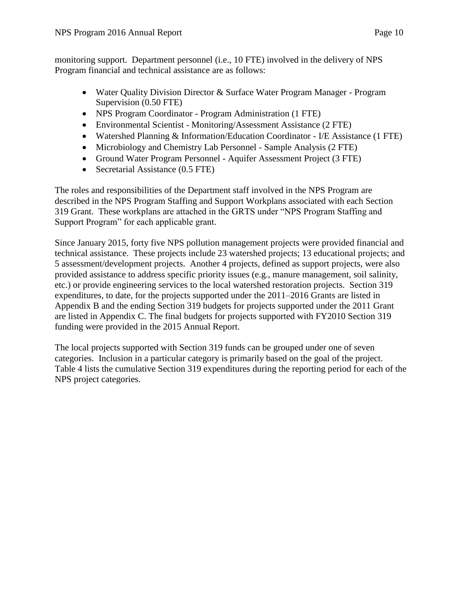monitoring support. Department personnel (i.e., 10 FTE) involved in the delivery of NPS Program financial and technical assistance are as follows:

- Water Quality Division Director & Surface Water Program Manager Program Supervision (0.50 FTE)
- NPS Program Coordinator Program Administration (1 FTE)
- Environmental Scientist Monitoring/Assessment Assistance (2 FTE)
- Watershed Planning & Information/Education Coordinator I/E Assistance (1 FTE)
- Microbiology and Chemistry Lab Personnel Sample Analysis (2 FTE)
- Ground Water Program Personnel Aquifer Assessment Project (3 FTE)
- Secretarial Assistance (0.5 FTE)

The roles and responsibilities of the Department staff involved in the NPS Program are described in the NPS Program Staffing and Support Workplans associated with each Section 319 Grant. These workplans are attached in the GRTS under "NPS Program Staffing and Support Program" for each applicable grant.

Since January 2015, forty five NPS pollution management projects were provided financial and technical assistance. These projects include 23 watershed projects; 13 educational projects; and 5 assessment/development projects. Another 4 projects, defined as support projects, were also provided assistance to address specific priority issues (e.g., manure management, soil salinity, etc.) or provide engineering services to the local watershed restoration projects. Section 319 expenditures, to date, for the projects supported under the 2011–2016 Grants are listed in Appendix B and the ending Section 319 budgets for projects supported under the 2011 Grant are listed in Appendix C. The final budgets for projects supported with FY2010 Section 319 funding were provided in the 2015 Annual Report.

The local projects supported with Section 319 funds can be grouped under one of seven categories. Inclusion in a particular category is primarily based on the goal of the project. Table 4 lists the cumulative Section 319 expenditures during the reporting period for each of the NPS project categories.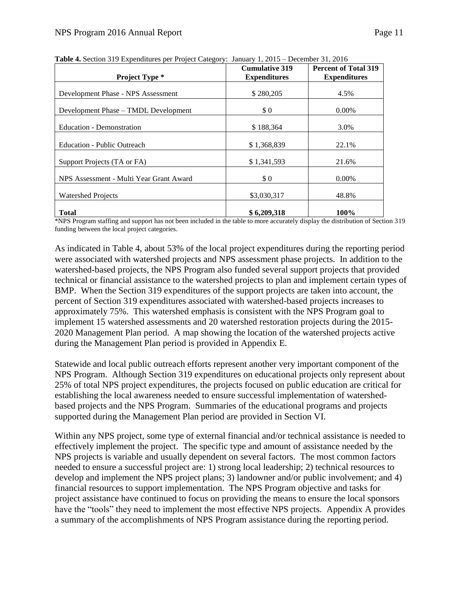| <b>Project Type *</b>                   | <b>Cumulative 319</b><br><b>Expenditures</b> | <b>Percent of Total 319</b><br><b>Expenditures</b> |
|-----------------------------------------|----------------------------------------------|----------------------------------------------------|
| Development Phase - NPS Assessment      | \$280,205                                    | 4.5%                                               |
| Development Phase – TMDL Development    | \$0                                          | $0.00\%$                                           |
| <b>Education - Demonstration</b>        | \$188,364                                    | 3.0%                                               |
| <b>Education - Public Outreach</b>      | \$1,368,839                                  | 22.1%                                              |
| Support Projects (TA or FA)             | \$1,341,593                                  | 21.6%                                              |
| NPS Assessment - Multi Year Grant Award | \$0                                          | $0.00\%$                                           |
| <b>Watershed Projects</b>               | \$3,030,317                                  | 48.8%                                              |
| <b>Total</b>                            | \$6,209,318                                  | 100%                                               |

**Table 4.** Section 319 Expenditures per Project Category: January 1, 2015 – December 31, 2016

\*NPS Program staffing and support has not been included in the table to more accurately display the distribution of Section 319 funding between the local project categories.

As indicated in Table 4, about 53% of the local project expenditures during the reporting period were associated with watershed projects and NPS assessment phase projects. In addition to the watershed-based projects, the NPS Program also funded several support projects that provided technical or financial assistance to the watershed projects to plan and implement certain types of BMP. When the Section 319 expenditures of the support projects are taken into account, the percent of Section 319 expenditures associated with watershed-based projects increases to approximately 75%. This watershed emphasis is consistent with the NPS Program goal to implement 15 watershed assessments and 20 watershed restoration projects during the 2015- 2020 Management Plan period. A map showing the location of the watershed projects active during the Management Plan period is provided in Appendix E.

Statewide and local public outreach efforts represent another very important component of the NPS Program. Although Section 319 expenditures on educational projects only represent about 25% of total NPS project expenditures, the projects focused on public education are critical for establishing the local awareness needed to ensure successful implementation of watershedbased projects and the NPS Program. Summaries of the educational programs and projects supported during the Management Plan period are provided in Section VI.

Within any NPS project, some type of external financial and/or technical assistance is needed to effectively implement the project. The specific type and amount of assistance needed by the NPS projects is variable and usually dependent on several factors. The most common factors needed to ensure a successful project are: 1) strong local leadership; 2) technical resources to develop and implement the NPS project plans; 3) landowner and/or public involvement; and 4) financial resources to support implementation. The NPS Program objective and tasks for project assistance have continued to focus on providing the means to ensure the local sponsors have the "tools" they need to implement the most effective NPS projects. Appendix A provides a summary of the accomplishments of NPS Program assistance during the reporting period.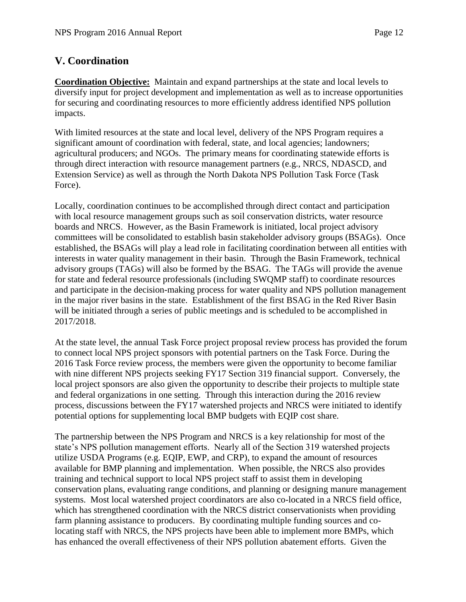# **V. Coordination**

**Coordination Objective:** Maintain and expand partnerships at the state and local levels to diversify input for project development and implementation as well as to increase opportunities for securing and coordinating resources to more efficiently address identified NPS pollution impacts.

With limited resources at the state and local level, delivery of the NPS Program requires a significant amount of coordination with federal, state, and local agencies; landowners; agricultural producers; and NGOs. The primary means for coordinating statewide efforts is through direct interaction with resource management partners (e.g., NRCS, NDASCD, and Extension Service) as well as through the North Dakota NPS Pollution Task Force (Task Force).

Locally, coordination continues to be accomplished through direct contact and participation with local resource management groups such as soil conservation districts, water resource boards and NRCS. However, as the Basin Framework is initiated, local project advisory committees will be consolidated to establish basin stakeholder advisory groups (BSAGs). Once established, the BSAGs will play a lead role in facilitating coordination between all entities with interests in water quality management in their basin. Through the Basin Framework, technical advisory groups (TAGs) will also be formed by the BSAG. The TAGs will provide the avenue for state and federal resource professionals (including SWQMP staff) to coordinate resources and participate in the decision-making process for water quality and NPS pollution management in the major river basins in the state. Establishment of the first BSAG in the Red River Basin will be initiated through a series of public meetings and is scheduled to be accomplished in 2017/2018.

At the state level, the annual Task Force project proposal review process has provided the forum to connect local NPS project sponsors with potential partners on the Task Force. During the 2016 Task Force review process, the members were given the opportunity to become familiar with nine different NPS projects seeking FY17 Section 319 financial support. Conversely, the local project sponsors are also given the opportunity to describe their projects to multiple state and federal organizations in one setting. Through this interaction during the 2016 review process, discussions between the FY17 watershed projects and NRCS were initiated to identify potential options for supplementing local BMP budgets with EQIP cost share.

The partnership between the NPS Program and NRCS is a key relationship for most of the state's NPS pollution management efforts. Nearly all of the Section 319 watershed projects utilize USDA Programs (e.g. EQIP, EWP, and CRP), to expand the amount of resources available for BMP planning and implementation. When possible, the NRCS also provides training and technical support to local NPS project staff to assist them in developing conservation plans, evaluating range conditions, and planning or designing manure management systems. Most local watershed project coordinators are also co-located in a NRCS field office, which has strengthened coordination with the NRCS district conservationists when providing farm planning assistance to producers. By coordinating multiple funding sources and colocating staff with NRCS, the NPS projects have been able to implement more BMPs, which has enhanced the overall effectiveness of their NPS pollution abatement efforts. Given the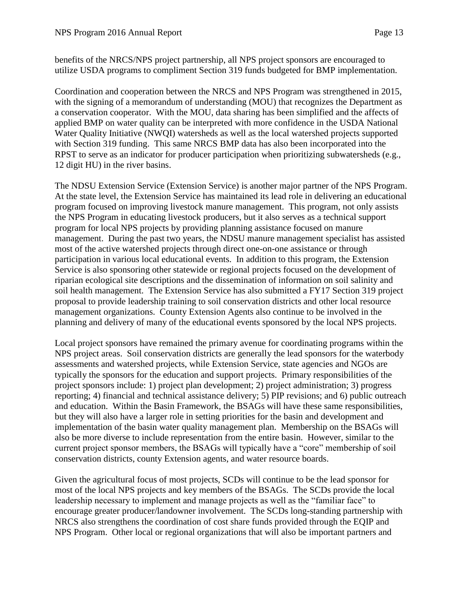benefits of the NRCS/NPS project partnership, all NPS project sponsors are encouraged to utilize USDA programs to compliment Section 319 funds budgeted for BMP implementation.

Coordination and cooperation between the NRCS and NPS Program was strengthened in 2015, with the signing of a memorandum of understanding (MOU) that recognizes the Department as a conservation cooperator. With the MOU, data sharing has been simplified and the affects of applied BMP on water quality can be interpreted with more confidence in the USDA National Water Quality Initiative (NWQI) watersheds as well as the local watershed projects supported with Section 319 funding. This same NRCS BMP data has also been incorporated into the RPST to serve as an indicator for producer participation when prioritizing subwatersheds (e.g., 12 digit HU) in the river basins.

The NDSU Extension Service (Extension Service) is another major partner of the NPS Program. At the state level, the Extension Service has maintained its lead role in delivering an educational program focused on improving livestock manure management. This program, not only assists the NPS Program in educating livestock producers, but it also serves as a technical support program for local NPS projects by providing planning assistance focused on manure management. During the past two years, the NDSU manure management specialist has assisted most of the active watershed projects through direct one-on-one assistance or through participation in various local educational events. In addition to this program, the Extension Service is also sponsoring other statewide or regional projects focused on the development of riparian ecological site descriptions and the dissemination of information on soil salinity and soil health management. The Extension Service has also submitted a FY17 Section 319 project proposal to provide leadership training to soil conservation districts and other local resource management organizations. County Extension Agents also continue to be involved in the planning and delivery of many of the educational events sponsored by the local NPS projects.

Local project sponsors have remained the primary avenue for coordinating programs within the NPS project areas. Soil conservation districts are generally the lead sponsors for the waterbody assessments and watershed projects, while Extension Service, state agencies and NGOs are typically the sponsors for the education and support projects. Primary responsibilities of the project sponsors include: 1) project plan development; 2) project administration; 3) progress reporting; 4) financial and technical assistance delivery; 5) PIP revisions; and 6) public outreach and education. Within the Basin Framework, the BSAGs will have these same responsibilities, but they will also have a larger role in setting priorities for the basin and development and implementation of the basin water quality management plan. Membership on the BSAGs will also be more diverse to include representation from the entire basin. However, similar to the current project sponsor members, the BSAGs will typically have a "core" membership of soil conservation districts, county Extension agents, and water resource boards.

Given the agricultural focus of most projects, SCDs will continue to be the lead sponsor for most of the local NPS projects and key members of the BSAGs. The SCDs provide the local leadership necessary to implement and manage projects as well as the "familiar face" to encourage greater producer/landowner involvement. The SCDs long-standing partnership with NRCS also strengthens the coordination of cost share funds provided through the EQIP and NPS Program. Other local or regional organizations that will also be important partners and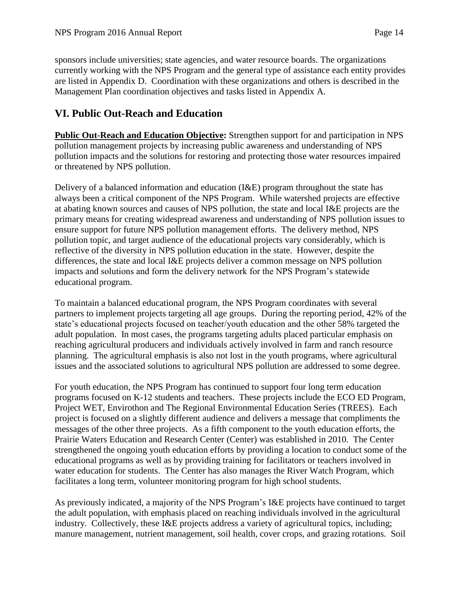sponsors include universities; state agencies, and water resource boards. The organizations currently working with the NPS Program and the general type of assistance each entity provides are listed in Appendix D. Coordination with these organizations and others is described in the Management Plan coordination objectives and tasks listed in Appendix A.

# **VI. Public Out-Reach and Education**

**Public Out-Reach and Education Objective:** Strengthen support for and participation in NPS pollution management projects by increasing public awareness and understanding of NPS pollution impacts and the solutions for restoring and protecting those water resources impaired or threatened by NPS pollution.

Delivery of a balanced information and education (I&E) program throughout the state has always been a critical component of the NPS Program. While watershed projects are effective at abating known sources and causes of NPS pollution, the state and local I&E projects are the primary means for creating widespread awareness and understanding of NPS pollution issues to ensure support for future NPS pollution management efforts. The delivery method, NPS pollution topic, and target audience of the educational projects vary considerably, which is reflective of the diversity in NPS pollution education in the state. However, despite the differences, the state and local I&E projects deliver a common message on NPS pollution impacts and solutions and form the delivery network for the NPS Program's statewide educational program.

To maintain a balanced educational program, the NPS Program coordinates with several partners to implement projects targeting all age groups. During the reporting period, 42% of the state's educational projects focused on teacher/youth education and the other 58% targeted the adult population. In most cases, the programs targeting adults placed particular emphasis on reaching agricultural producers and individuals actively involved in farm and ranch resource planning. The agricultural emphasis is also not lost in the youth programs, where agricultural issues and the associated solutions to agricultural NPS pollution are addressed to some degree.

For youth education, the NPS Program has continued to support four long term education programs focused on K-12 students and teachers. These projects include the ECO ED Program, Project WET, Envirothon and The Regional Environmental Education Series (TREES). Each project is focused on a slightly different audience and delivers a message that compliments the messages of the other three projects. As a fifth component to the youth education efforts, the Prairie Waters Education and Research Center (Center) was established in 2010. The Center strengthened the ongoing youth education efforts by providing a location to conduct some of the educational programs as well as by providing training for facilitators or teachers involved in water education for students. The Center has also manages the River Watch Program, which facilitates a long term, volunteer monitoring program for high school students.

As previously indicated, a majority of the NPS Program's I&E projects have continued to target the adult population, with emphasis placed on reaching individuals involved in the agricultural industry. Collectively, these I&E projects address a variety of agricultural topics, including; manure management, nutrient management, soil health, cover crops, and grazing rotations. Soil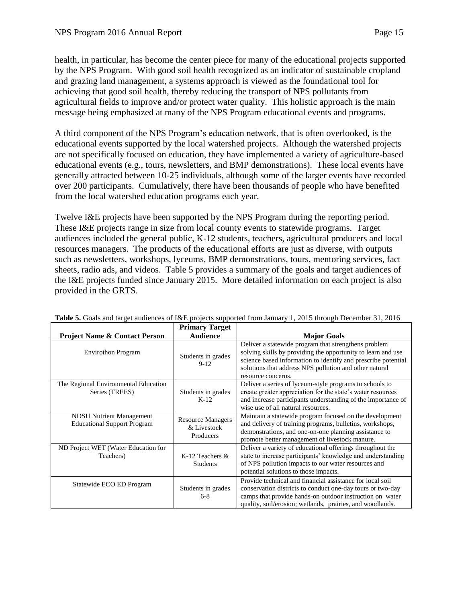health, in particular, has become the center piece for many of the educational projects supported by the NPS Program. With good soil health recognized as an indicator of sustainable cropland and grazing land management, a systems approach is viewed as the foundational tool for achieving that good soil health, thereby reducing the transport of NPS pollutants from agricultural fields to improve and/or protect water quality. This holistic approach is the main message being emphasized at many of the NPS Program educational events and programs.

A third component of the NPS Program's education network, that is often overlooked, is the educational events supported by the local watershed projects. Although the watershed projects are not specifically focused on education, they have implemented a variety of agriculture-based educational events (e.g., tours, newsletters, and BMP demonstrations). These local events have generally attracted between 10-25 individuals, although some of the larger events have recorded over 200 participants. Cumulatively, there have been thousands of people who have benefited from the local watershed education programs each year.

Twelve I&E projects have been supported by the NPS Program during the reporting period. These I&E projects range in size from local county events to statewide programs. Target audiences included the general public, K-12 students, teachers, agricultural producers and local resources managers. The products of the educational efforts are just as diverse, with outputs such as newsletters, workshops, lyceums, BMP demonstrations, tours, mentoring services, fact sheets, radio ads, and videos. Table 5 provides a summary of the goals and target audiences of the I&E projects funded since January 2015. More detailed information on each project is also provided in the GRTS.

|                                                                       | <b>Primary Target</b>                                |                                                                                                                                                                                                                                                                       |
|-----------------------------------------------------------------------|------------------------------------------------------|-----------------------------------------------------------------------------------------------------------------------------------------------------------------------------------------------------------------------------------------------------------------------|
| <b>Project Name &amp; Contact Person</b>                              | <b>Audience</b>                                      | <b>Major Goals</b>                                                                                                                                                                                                                                                    |
| <b>Envirothon Program</b>                                             | Students in grades<br>$9-12$                         | Deliver a statewide program that strengthens problem<br>solving skills by providing the opportunity to learn and use<br>science based information to identify and prescribe potential<br>solutions that address NPS pollution and other natural<br>resource concerns. |
| The Regional Environmental Education<br>Series (TREES)                | Students in grades<br>$K-12$                         | Deliver a series of lyceum-style programs to schools to<br>create greater appreciation for the state's water resources<br>and increase participants understanding of the importance of<br>wise use of all natural resources.                                          |
| <b>NDSU Nutrient Management</b><br><b>Educational Support Program</b> | <b>Resource Managers</b><br>& Livestock<br>Producers | Maintain a statewide program focused on the development<br>and delivery of training programs, bulletins, workshops,<br>demonstrations, and one-on-one planning assistance to<br>promote better management of livestock manure.                                        |
| ND Project WET (Water Education for<br>Teachers)                      | K-12 Teachers &<br><b>Students</b>                   | Deliver a variety of educational offerings throughout the<br>state to increase participants' knowledge and understanding<br>of NPS pollution impacts to our water resources and<br>potential solutions to those impacts.                                              |
| Statewide ECO ED Program                                              | Students in grades<br>$6 - 8$                        | Provide technical and financial assistance for local soil<br>conservation districts to conduct one-day tours or two-day<br>camps that provide hands-on outdoor instruction on water<br>quality, soil/erosion; wetlands, prairies, and woodlands.                      |

**Table 5.** Goals and target audiences of I&E projects supported from January 1, 2015 through December 31, 2016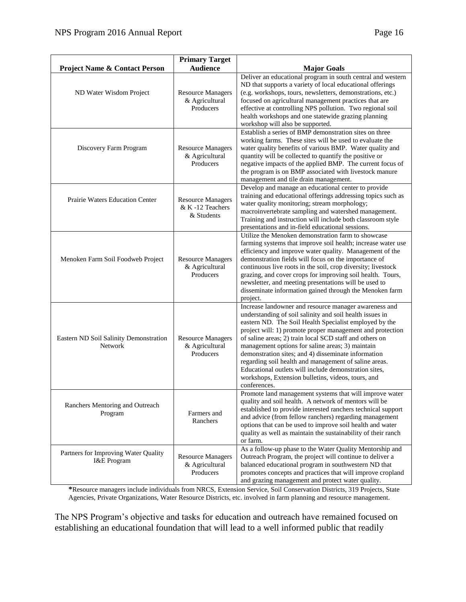|                                                     | <b>Primary Target</b>                                     |                                                                                                                                                                                                                                                                                                                                                                                                                                                                                                                                                                                                        |
|-----------------------------------------------------|-----------------------------------------------------------|--------------------------------------------------------------------------------------------------------------------------------------------------------------------------------------------------------------------------------------------------------------------------------------------------------------------------------------------------------------------------------------------------------------------------------------------------------------------------------------------------------------------------------------------------------------------------------------------------------|
| <b>Project Name &amp; Contact Person</b>            | <b>Audience</b>                                           | <b>Major Goals</b>                                                                                                                                                                                                                                                                                                                                                                                                                                                                                                                                                                                     |
| ND Water Wisdom Project                             | <b>Resource Managers</b><br>& Agricultural<br>Producers   | Deliver an educational program in south central and western<br>ND that supports a variety of local educational offerings<br>(e.g. workshops, tours, newsletters, demonstrations, etc.)<br>focused on agricultural management practices that are<br>effective at controlling NPS pollution. Two regional soil<br>health workshops and one statewide grazing planning<br>workshop will also be supported.                                                                                                                                                                                                |
| Discovery Farm Program                              | <b>Resource Managers</b><br>& Agricultural<br>Producers   | Establish a series of BMP demonstration sites on three<br>working farms. These sites will be used to evaluate the<br>water quality benefits of various BMP. Water quality and<br>quantity will be collected to quantify the positive or<br>negative impacts of the applied BMP. The current focus of<br>the program is on BMP associated with livestock manure<br>management and tile drain management.                                                                                                                                                                                                |
| Prairie Waters Education Center                     | <b>Resource Managers</b><br>& K-12 Teachers<br>& Students | Develop and manage an educational center to provide<br>training and educational offerings addressing topics such as<br>water quality monitoring; stream morphology;<br>macroinvertebrate sampling and watershed management.<br>Training and instruction will include both classroom style<br>presentations and in-field educational sessions.                                                                                                                                                                                                                                                          |
| Menoken Farm Soil Foodweb Project                   | <b>Resource Managers</b><br>& Agricultural<br>Producers   | Utilize the Menoken demonstration farm to showcase<br>farming systems that improve soil health; increase water use<br>efficiency and improve water quality. Management of the<br>demonstration fields will focus on the importance of<br>continuous live roots in the soil, crop diversity; livestock<br>grazing, and cover crops for improving soil health. Tours,<br>newsletter, and meeting presentations will be used to<br>disseminate information gained through the Menoken farm<br>project.                                                                                                    |
| Eastern ND Soil Salinity Demonstration<br>Network   | <b>Resource Managers</b><br>& Agricultural<br>Producers   | Increase landowner and resource manager awareness and<br>understanding of soil salinity and soil health issues in<br>eastern ND. The Soil Health Specialist employed by the<br>project will: 1) promote proper management and protection<br>of saline areas; 2) train local SCD staff and others on<br>management options for saline areas; 3) maintain<br>demonstration sites; and 4) disseminate information<br>regarding soil health and management of saline areas.<br>Educational outlets will include demonstration sites,<br>workshops, Extension bulletins, videos, tours, and<br>conferences. |
| Ranchers Mentoring and Outreach<br>Program          | Farmers and<br>Ranchers                                   | Promote land management systems that will improve water<br>quality and soil health. A network of mentors will be<br>established to provide interested ranchers technical support<br>and advice (from fellow ranchers) regarding management<br>options that can be used to improve soil health and water<br>quality as well as maintain the sustainability of their ranch<br>or farm.                                                                                                                                                                                                                   |
| Partners for Improving Water Quality<br>I&E Program | <b>Resource Managers</b><br>& Agricultural<br>Producers   | As a follow-up phase to the Water Quality Mentorship and<br>Outreach Program, the project will continue to deliver a<br>balanced educational program in southwestern ND that<br>promotes concepts and practices that will improve cropland<br>and grazing management and protect water quality.                                                                                                                                                                                                                                                                                                        |

**\***Resource managers include individuals from NRCS, Extension Service, Soil Conservation Districts, 319 Projects, State Agencies, Private Organizations, Water Resource Districts, etc. involved in farm planning and resource management.

The NPS Program's objective and tasks for education and outreach have remained focused on establishing an educational foundation that will lead to a well informed public that readily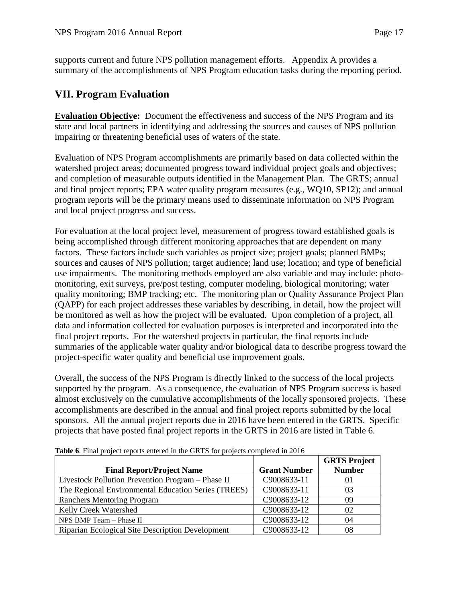supports current and future NPS pollution management efforts. Appendix A provides a summary of the accomplishments of NPS Program education tasks during the reporting period.

# **VII. Program Evaluation**

**Evaluation Objective:** Document the effectiveness and success of the NPS Program and its state and local partners in identifying and addressing the sources and causes of NPS pollution impairing or threatening beneficial uses of waters of the state.

Evaluation of NPS Program accomplishments are primarily based on data collected within the watershed project areas; documented progress toward individual project goals and objectives; and completion of measurable outputs identified in the Management Plan. The GRTS; annual and final project reports; EPA water quality program measures (e.g., WQ10, SP12); and annual program reports will be the primary means used to disseminate information on NPS Program and local project progress and success.

For evaluation at the local project level, measurement of progress toward established goals is being accomplished through different monitoring approaches that are dependent on many factors. These factors include such variables as project size; project goals; planned BMPs; sources and causes of NPS pollution; target audience; land use; location; and type of beneficial use impairments. The monitoring methods employed are also variable and may include: photomonitoring, exit surveys, pre/post testing, computer modeling, biological monitoring; water quality monitoring; BMP tracking; etc. The monitoring plan or Quality Assurance Project Plan (QAPP) for each project addresses these variables by describing, in detail, how the project will be monitored as well as how the project will be evaluated. Upon completion of a project, all data and information collected for evaluation purposes is interpreted and incorporated into the final project reports. For the watershed projects in particular, the final reports include summaries of the applicable water quality and/or biological data to describe progress toward the project-specific water quality and beneficial use improvement goals.

Overall, the success of the NPS Program is directly linked to the success of the local projects supported by the program. As a consequence, the evaluation of NPS Program success is based almost exclusively on the cumulative accomplishments of the locally sponsored projects. These accomplishments are described in the annual and final project reports submitted by the local sponsors. All the annual project reports due in 2016 have been entered in the GRTS. Specific projects that have posted final project reports in the GRTS in 2016 are listed in Table 6.

|                                                     |                     | <b>GRTS Project</b> |
|-----------------------------------------------------|---------------------|---------------------|
| <b>Final Report/Project Name</b>                    | <b>Grant Number</b> | <b>Number</b>       |
| Livestock Pollution Prevention Program - Phase II   | C9008633-11         | $_{01}$             |
| The Regional Environmental Education Series (TREES) | C9008633-11         | 03                  |
| Ranchers Mentoring Program                          | C9008633-12         | 09                  |
| <b>Kelly Creek Watershed</b>                        | C9008633-12         | 02                  |
| NPS BMP Team - Phase II                             | C9008633-12         | 04                  |
| Riparian Ecological Site Description Development    | C9008633-12         | 08                  |

**Table 6**. Final project reports entered in the GRTS for projects completed in 2016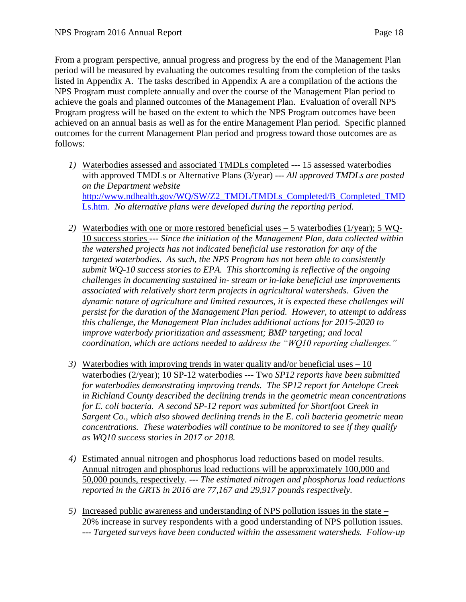From a program perspective, annual progress and progress by the end of the Management Plan period will be measured by evaluating the outcomes resulting from the completion of the tasks listed in Appendix A. The tasks described in Appendix A are a compilation of the actions the NPS Program must complete annually and over the course of the Management Plan period to achieve the goals and planned outcomes of the Management Plan. Evaluation of overall NPS Program progress will be based on the extent to which the NPS Program outcomes have been achieved on an annual basis as well as for the entire Management Plan period. Specific planned outcomes for the current Management Plan period and progress toward those outcomes are as follows:

- *1)* Waterbodies assessed and associated TMDLs completed --- 15 assessed waterbodies with approved TMDLs or Alternative Plans (3/year) --- *All* a*pproved TMDLs are posted on the Department website*  [http://www.ndhealth.gov/WQ/SW/Z2\\_TMDL/TMDLs\\_Completed/B\\_Completed\\_TMD](http://www.ndhealth.gov/WQ/SW/Z2_TMDL/TMDLs_Completed/B_Completed_TMDLs.htm) [Ls.htm.](http://www.ndhealth.gov/WQ/SW/Z2_TMDL/TMDLs_Completed/B_Completed_TMDLs.htm) *No alternative plans were developed during the reporting period.*
- *2)* Waterbodies with one or more restored beneficial uses 5 waterbodies (1/year); 5 WQ-10 success stories --- *Since the initiation of the Management Plan, data collected within the watershed projects has not indicated beneficial use restoration for any of the targeted waterbodies. As such, the NPS Program has not been able to consistently submit WQ-10 success stories to EPA. This shortcoming is reflective of the ongoing challenges in documenting sustained in- stream or in-lake beneficial use improvements associated with relatively short term projects in agricultural watersheds. Given the dynamic nature of agriculture and limited resources, it is expected these challenges will persist for the duration of the Management Plan period. However, to attempt to address this challenge, the Management Plan includes additional actions for 2015-2020 to improve waterbody prioritization and assessment; BMP targeting; and local coordination, which are actions needed to address the "WQ10 reporting challenges."*
- *3)* Waterbodies with improving trends in water quality and/or beneficial uses 10 waterbodies (2/year); 10 SP-12 waterbodies --- Two *SP12 reports have been submitted for waterbodies demonstrating improving trends. The SP12 report for Antelope Creek in Richland County described the declining trends in the geometric mean concentrations for E. coli bacteria. A second SP-12 report was submitted for Shortfoot Creek in Sargent Co., which also showed declining trends in the E. coli bacteria geometric mean concentrations. These waterbodies will continue to be monitored to see if they qualify as WQ10 success stories in 2017 or 2018.*
- *4)* Estimated annual nitrogen and phosphorus load reductions based on model results. Annual nitrogen and phosphorus load reductions will be approximately 100,000 and 50,000 pounds, respectively. --- *The estimated nitrogen and phosphorus load reductions reported in the GRTS in 2016 are 77,167 and 29,917 pounds respectively.*
- *5)* Increased public awareness and understanding of NPS pollution issues in the state 20% increase in survey respondents with a good understanding of NPS pollution issues. --- *Targeted surveys have been conducted within the assessment watersheds. Follow-up*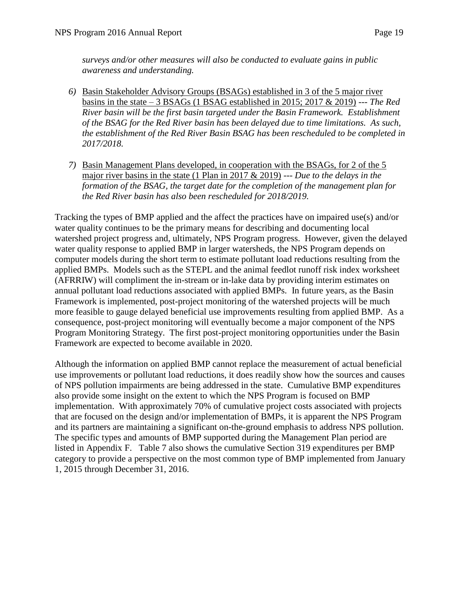*surveys and/or other measures will also be conducted to evaluate gains in public awareness and understanding.* 

- *6)* Basin Stakeholder Advisory Groups (BSAGs) established in 3 of the 5 major river basins in the state – 3 BSAGs (1 BSAG established in 2015; 2017 & 2019) --- *The Red River basin will be the first basin targeted under the Basin Framework. Establishment of the BSAG for the Red River basin has been delayed due to time limitations. As such, the establishment of the Red River Basin BSAG has been rescheduled to be completed in 2017/2018.*
- *7)* Basin Management Plans developed, in cooperation with the BSAGs, for 2 of the 5 major river basins in the state (1 Plan in 2017 & 2019) --- *Due to the delays in the formation of the BSAG, the target date for the completion of the management plan for the Red River basin has also been rescheduled for 2018/2019.*

Tracking the types of BMP applied and the affect the practices have on impaired use(s) and/or water quality continues to be the primary means for describing and documenting local watershed project progress and, ultimately, NPS Program progress. However, given the delayed water quality response to applied BMP in larger watersheds, the NPS Program depends on computer models during the short term to estimate pollutant load reductions resulting from the applied BMPs. Models such as the STEPL and the animal feedlot runoff risk index worksheet (AFRRIW) will compliment the in-stream or in-lake data by providing interim estimates on annual pollutant load reductions associated with applied BMPs. In future years, as the Basin Framework is implemented, post-project monitoring of the watershed projects will be much more feasible to gauge delayed beneficial use improvements resulting from applied BMP. As a consequence, post-project monitoring will eventually become a major component of the NPS Program Monitoring Strategy. The first post-project monitoring opportunities under the Basin Framework are expected to become available in 2020.

Although the information on applied BMP cannot replace the measurement of actual beneficial use improvements or pollutant load reductions, it does readily show how the sources and causes of NPS pollution impairments are being addressed in the state. Cumulative BMP expenditures also provide some insight on the extent to which the NPS Program is focused on BMP implementation. With approximately 70% of cumulative project costs associated with projects that are focused on the design and/or implementation of BMPs, it is apparent the NPS Program and its partners are maintaining a significant on-the-ground emphasis to address NPS pollution. The specific types and amounts of BMP supported during the Management Plan period are listed in Appendix F. Table 7 also shows the cumulative Section 319 expenditures per BMP category to provide a perspective on the most common type of BMP implemented from January 1, 2015 through December 31, 2016.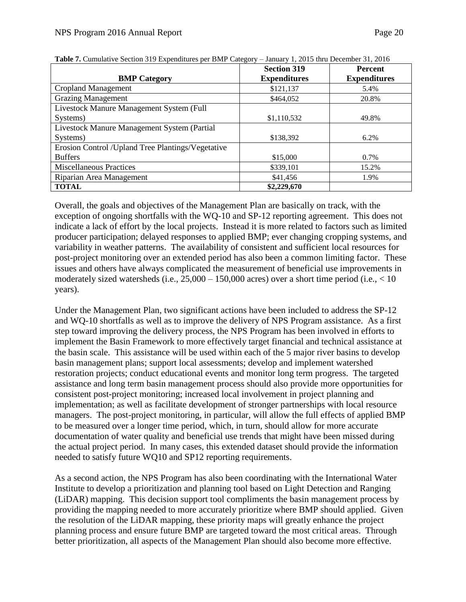|                                                    | <b>Section 319</b>  | <b>Percent</b>      |
|----------------------------------------------------|---------------------|---------------------|
| <b>BMP</b> Category                                | <b>Expenditures</b> | <b>Expenditures</b> |
| Cropland Management                                | \$121,137           | 5.4%                |
| <b>Grazing Management</b>                          | \$464,052           | 20.8%               |
| Livestock Manure Management System (Full           |                     |                     |
| Systems)                                           | \$1,110,532         | 49.8%               |
| Livestock Manure Management System (Partial        |                     |                     |
| Systems)                                           | \$138,392           | 6.2%                |
| Erosion Control / Upland Tree Plantings/Vegetative |                     |                     |
| <b>Buffers</b>                                     | \$15,000            | $0.7\%$             |
| <b>Miscellaneous Practices</b>                     | \$339,101           | 15.2%               |
| Riparian Area Management                           | \$41,456            | 1.9%                |
| <b>TOTAL</b>                                       | \$2,229,670         |                     |

|  | Table 7. Cumulative Section 319 Expenditures per BMP Category - January 1, 2015 thru December 31, 2016 |  |  |  |
|--|--------------------------------------------------------------------------------------------------------|--|--|--|
|  |                                                                                                        |  |  |  |

Overall, the goals and objectives of the Management Plan are basically on track, with the exception of ongoing shortfalls with the WQ-10 and SP-12 reporting agreement. This does not indicate a lack of effort by the local projects. Instead it is more related to factors such as limited producer participation; delayed responses to applied BMP; ever changing cropping systems, and variability in weather patterns. The availability of consistent and sufficient local resources for post-project monitoring over an extended period has also been a common limiting factor. These issues and others have always complicated the measurement of beneficial use improvements in moderately sized watersheds (i.e.,  $25,000 - 150,000$  acres) over a short time period (i.e.,  $< 10$ ) years).

Under the Management Plan, two significant actions have been included to address the SP-12 and WQ-10 shortfalls as well as to improve the delivery of NPS Program assistance. As a first step toward improving the delivery process, the NPS Program has been involved in efforts to implement the Basin Framework to more effectively target financial and technical assistance at the basin scale. This assistance will be used within each of the 5 major river basins to develop basin management plans; support local assessments; develop and implement watershed restoration projects; conduct educational events and monitor long term progress. The targeted assistance and long term basin management process should also provide more opportunities for consistent post-project monitoring; increased local involvement in project planning and implementation; as well as facilitate development of stronger partnerships with local resource managers. The post-project monitoring, in particular, will allow the full effects of applied BMP to be measured over a longer time period, which, in turn, should allow for more accurate documentation of water quality and beneficial use trends that might have been missed during the actual project period. In many cases, this extended dataset should provide the information needed to satisfy future WQ10 and SP12 reporting requirements.

As a second action, the NPS Program has also been coordinating with the International Water Institute to develop a prioritization and planning tool based on Light Detection and Ranging (LiDAR) mapping. This decision support tool compliments the basin management process by providing the mapping needed to more accurately prioritize where BMP should applied. Given the resolution of the LiDAR mapping, these priority maps will greatly enhance the project planning process and ensure future BMP are targeted toward the most critical areas. Through better prioritization, all aspects of the Management Plan should also become more effective.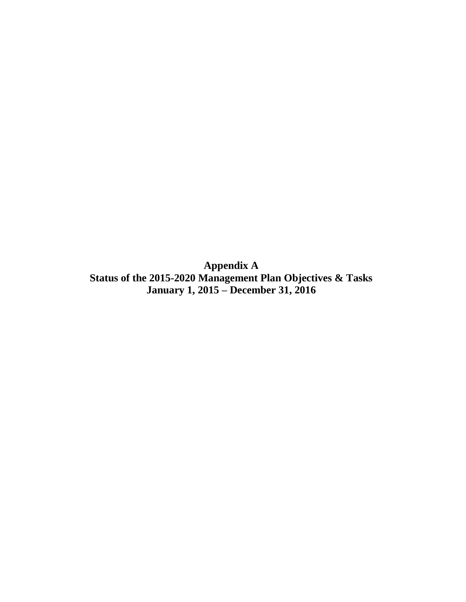**Appendix A Status of the 2015-2020 Management Plan Objectives & Tasks January 1, 2015 – December 31, 2016**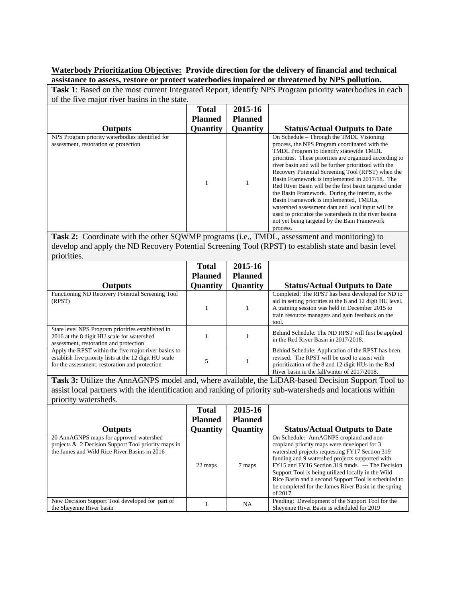#### **Waterbody Prioritization Objective: Provide direction for the delivery of financial and technical assistance to assess, restore or protect waterbodies impaired or threatened by NPS pollution.**

**Task 1**: Based on the most current Integrated Report, identify NPS Program priority waterbodies in each of the five major river basins in the state.

| Of the five major from basing in the state.                                              |                 |                 |                                                                                                                                                                                                                                                                                                                                                                                                                                                                                                                                                                                                                                                                                                 |
|------------------------------------------------------------------------------------------|-----------------|-----------------|-------------------------------------------------------------------------------------------------------------------------------------------------------------------------------------------------------------------------------------------------------------------------------------------------------------------------------------------------------------------------------------------------------------------------------------------------------------------------------------------------------------------------------------------------------------------------------------------------------------------------------------------------------------------------------------------------|
|                                                                                          | Total           | 2015-16         |                                                                                                                                                                                                                                                                                                                                                                                                                                                                                                                                                                                                                                                                                                 |
|                                                                                          | <b>Planned</b>  | <b>Planned</b>  |                                                                                                                                                                                                                                                                                                                                                                                                                                                                                                                                                                                                                                                                                                 |
| <b>Outputs</b>                                                                           | <b>Quantity</b> | <b>Quantity</b> | <b>Status/Actual Outputs to Date</b>                                                                                                                                                                                                                                                                                                                                                                                                                                                                                                                                                                                                                                                            |
| NPS Program priority waterbodies identified for<br>assessment, restoration or protection |                 |                 | On Schedule - Through the TMDL Visioning<br>process, the NPS Program coordinated with the<br>TMDL Program to identify statewide TMDL<br>priorities. These priorities are organized according to<br>river basin and will be further prioritized with the<br>Recovery Potential Screening Tool (RPST) when the<br>Basin Framework is implemented in 2017/18. The<br>Red River Basin will be the first basin targeted under<br>the Basin Framework. During the interim, as the<br>Basin Framework is implemented, TMDLs,<br>watershed assessment data and local input will be<br>used to prioritize the watersheds in the river basins<br>not yet being targeted by the Bain Framework<br>process. |

**Task 2:** Coordinate with the other SQWMP programs (i.e., TMDL, assessment and monitoring) to develop and apply the ND Recovery Potential Screening Tool (RPST) to establish state and basin level priorities.

|                                                                                                                                                                  | <b>Total</b>    | 2015-16         |                                                                                                                                                                                                                               |
|------------------------------------------------------------------------------------------------------------------------------------------------------------------|-----------------|-----------------|-------------------------------------------------------------------------------------------------------------------------------------------------------------------------------------------------------------------------------|
|                                                                                                                                                                  | <b>Planned</b>  | <b>Planned</b>  |                                                                                                                                                                                                                               |
| <b>Outputs</b>                                                                                                                                                   | <b>Quantity</b> | <b>Quantity</b> | <b>Status/Actual Outputs to Date</b>                                                                                                                                                                                          |
| Functioning ND Recovery Potential Screening Tool<br>(RPST)                                                                                                       |                 |                 | Completed: The RPST has been developed for ND to<br>aid in setting priorities at the 8 and 12 digit HU level.<br>A training session was held in December 2015 to<br>train resource managers and gain feedback on the<br>tool. |
| State level NPS Program priorities established in<br>2016 at the 8 digit HU scale for watershed<br>assessment, restoration and protection                        |                 |                 | Behind Schedule: The ND RPST will first be applied<br>in the Red River Basin in 2017/2018.                                                                                                                                    |
| Apply the RPST within the five major river basins to<br>establish five priority lists at the 12 digit HU scale<br>for the assessment, restoration and protection |                 |                 | Behind Schedule: Application of the RPST has been<br>revised. The RPST will be used to assist with<br>prioritization of the 8 and 12 digit HUs in the Red<br>River basin in the fall/winter of 2017/2018.                     |

**Task 3:** Utilize the AnnAGNPS model and, where available, the LiDAR-based Decision Support Tool to assist local partners with the identification and ranking of priority sub-watersheds and locations within priority watersheds.

| Outputs                                                                                                                                        | <b>Total</b><br><b>Planned</b><br><b>Quantity</b> | 2015-16<br><b>Planned</b><br><b>Quantity</b> | <b>Status/Actual Outputs to Date</b>                                                                                                                                                                                                                                                                                                                                                                                               |
|------------------------------------------------------------------------------------------------------------------------------------------------|---------------------------------------------------|----------------------------------------------|------------------------------------------------------------------------------------------------------------------------------------------------------------------------------------------------------------------------------------------------------------------------------------------------------------------------------------------------------------------------------------------------------------------------------------|
| 20 AnnAGNPS maps for approved watershed<br>projects & 2 Decision Support Tool priority maps in<br>the James and Wild Rice River Basins in 2016 | 22 maps                                           | 7 maps                                       | On Schedule: AnnAGNPS cropland and non-<br>cropland priority maps were developed for 3<br>watershed projects requesting FY17 Section 319<br>funding and 9 watershed projects supported with<br>FY15 and FY16 Section 319 funds. --- The Decision<br>Support Tool is being utilized locally in the Wild<br>Rice Basin and a second Support Tool is scheduled to<br>be completed for the James River Basin in the spring<br>of 2017. |
| New Decision Support Tool developed for part of<br>the Sheyenne River basin                                                                    |                                                   | NA.                                          | Pending: Development of the Support Tool for the<br>Sheyenne River Basin is scheduled for 2019                                                                                                                                                                                                                                                                                                                                     |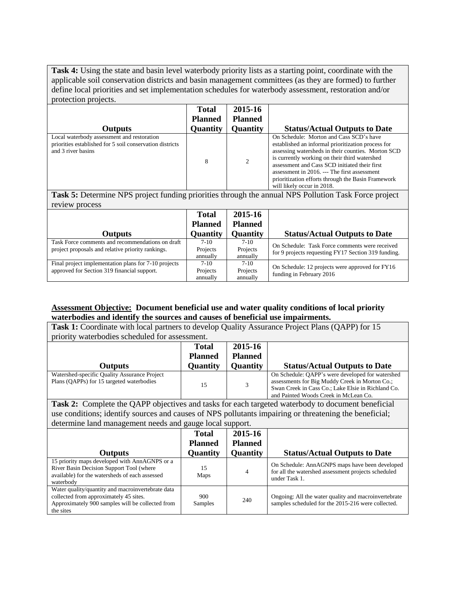**Task 4:** Using the state and basin level waterbody priority lists as a starting point, coordinate with the applicable soil conservation districts and basin management committees (as they are formed) to further define local priorities and set implementation schedules for waterbody assessment, restoration and/or protection projects.

| <b>Outputs</b>                                                                                                               | <b>Total</b><br><b>Planned</b><br><b>Quantity</b> | 2015-16<br><b>Planned</b><br><b>Quantity</b> | <b>Status/Actual Outputs to Date</b>                                                                                                                                                                                                                                                                                                                                                      |
|------------------------------------------------------------------------------------------------------------------------------|---------------------------------------------------|----------------------------------------------|-------------------------------------------------------------------------------------------------------------------------------------------------------------------------------------------------------------------------------------------------------------------------------------------------------------------------------------------------------------------------------------------|
| Local waterbody assessment and restoration<br>priorities established for 5 soil conservation districts<br>and 3 river basins | 8                                                 | 2                                            | On Schedule: Morton and Cass SCD's have<br>established an informal prioritization process for<br>assessing watersheds in their counties. Morton SCD<br>is currently working on their third watershed<br>assessment and Cass SCD initiated their first<br>assessment in 2016. --- The first assessment<br>prioritization efforts through the Basin Framework<br>will likely occur in 2018. |

**Task 5:** Determine NPS project funding priorities through the annual NPS Pollution Task Force project review process

| <b>Outputs</b>                                                                                        | <b>Total</b><br><b>Planned</b><br>Quantity | 2015-16<br><b>Planned</b><br><b>Quantity</b> | <b>Status/Actual Outputs to Date</b>                                                                  |
|-------------------------------------------------------------------------------------------------------|--------------------------------------------|----------------------------------------------|-------------------------------------------------------------------------------------------------------|
| Task Force comments and recommendations on draft<br>project proposals and relative priority rankings. | $7-10$<br>Projects<br>annually             | $7-10$<br>Projects<br>annually               | On Schedule: Task Force comments were received<br>for 9 projects requesting FY17 Section 319 funding. |
| Final project implementation plans for 7-10 projects<br>approved for Section 319 financial support.   | $7-10$<br>Projects<br>annually             | $7-10$<br>Projects<br>annually               | On Schedule: 12 projects were approved for FY16<br>funding in February 2016                           |

#### **Assessment Objective: Document beneficial use and water quality conditions of local priority waterbodies and identify the sources and causes of beneficial use impairments.**

| Task 1: Coordinate with local partners to develop Quality Assurance Project Plans (QAPP) for 15                                                              |                 |                 |                                                                                                                                                                                                   |  |
|--------------------------------------------------------------------------------------------------------------------------------------------------------------|-----------------|-----------------|---------------------------------------------------------------------------------------------------------------------------------------------------------------------------------------------------|--|
| priority waterbodies scheduled for assessment.                                                                                                               |                 |                 |                                                                                                                                                                                                   |  |
|                                                                                                                                                              | <b>Total</b>    | 2015-16         |                                                                                                                                                                                                   |  |
|                                                                                                                                                              | <b>Planned</b>  | <b>Planned</b>  |                                                                                                                                                                                                   |  |
| <b>Outputs</b>                                                                                                                                               | Quantity        | Quantity        | <b>Status/Actual Outputs to Date</b>                                                                                                                                                              |  |
| Watershed-specific Quality Assurance Project<br>Plans (QAPPs) for 15 targeted waterbodies                                                                    | 15              | 3               | On Schedule: QAPP's were developed for watershed<br>assessments for Big Muddy Creek in Morton Co.;<br>Swan Creek in Cass Co.; Lake Elsie in Richland Co.<br>and Painted Woods Creek in McLean Co. |  |
| <b>Task 2:</b> Complete the QAPP objectives and tasks for each targeted waterbody to document beneficial                                                     |                 |                 |                                                                                                                                                                                                   |  |
| use conditions; identify sources and causes of NPS pollutants impairing or threatening the beneficial;                                                       |                 |                 |                                                                                                                                                                                                   |  |
| determine land management needs and gauge local support.                                                                                                     |                 |                 |                                                                                                                                                                                                   |  |
|                                                                                                                                                              | <b>Total</b>    | 2015-16         |                                                                                                                                                                                                   |  |
|                                                                                                                                                              | <b>Planned</b>  | <b>Planned</b>  |                                                                                                                                                                                                   |  |
| Outputs                                                                                                                                                      | <b>Quantity</b> | <b>Quantity</b> | <b>Status/Actual Outputs to Date</b>                                                                                                                                                              |  |
| 15 priority maps developed with AnnAGNPS or a<br>River Basin Decision Support Tool (where<br>available) for the watersheds of each assessed<br>waterbody     | 15<br>Maps      | 4               | On Schedule: AnnAGNPS maps have been developed<br>for all the watershed assessment projects scheduled<br>under Task 1.                                                                            |  |
| Water quality/quantity and macroinvertebrate data<br>collected from approximately 45 sites.<br>Approximately 900 samples will be collected from<br>the sites | 900<br>Samples  | 240             | Ongoing: All the water quality and macroinvertebrate<br>samples scheduled for the 2015-216 were collected.                                                                                        |  |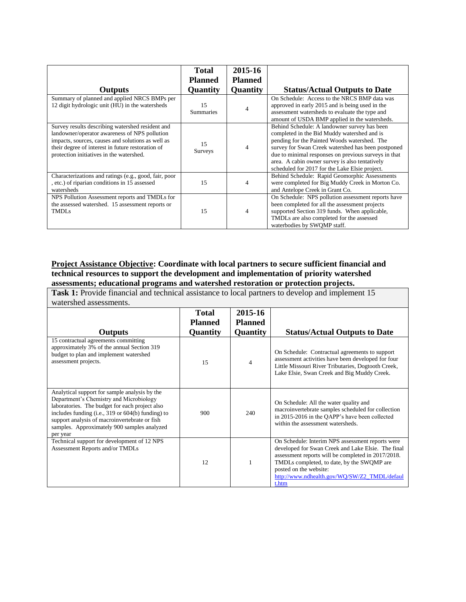|                                                                                                                                                                                                                                                         | <b>Total</b><br><b>Planned</b> | 2015-16<br><b>Planned</b> |                                                                                                                                                                                                                                                                                                                                                               |
|---------------------------------------------------------------------------------------------------------------------------------------------------------------------------------------------------------------------------------------------------------|--------------------------------|---------------------------|---------------------------------------------------------------------------------------------------------------------------------------------------------------------------------------------------------------------------------------------------------------------------------------------------------------------------------------------------------------|
| <b>Outputs</b>                                                                                                                                                                                                                                          | <b>Quantity</b>                | <b>Quantity</b>           | <b>Status/Actual Outputs to Date</b>                                                                                                                                                                                                                                                                                                                          |
| Summary of planned and applied NRCS BMPs per<br>12 digit hydrologic unit (HU) in the watersheds                                                                                                                                                         | 15<br><b>Summaries</b>         | 4                         | On Schedule: Access to the NRCS BMP data was<br>approved in early 2015 and is being used in the<br>assessment watersheds to evaluate the type and<br>amount of USDA BMP applied in the watersheds.                                                                                                                                                            |
| Survey results describing watershed resident and<br>landowner/operator awareness of NPS pollution<br>impacts, sources, causes and solutions as well as<br>their degree of interest in future restoration of<br>protection initiatives in the watershed. | 15<br><b>Surveys</b>           | 4                         | Behind Schedule: A landowner survey has been<br>completed in the Bid Muddy watershed and is<br>pending for the Painted Woods watershed. The<br>survey for Swan Creek watershed has been postponed<br>due to minimal responses on previous surveys in that<br>area. A cabin owner survey is also tentatively<br>scheduled for 2017 for the Lake Elsie project. |
| Characterizations and ratings (e.g., good, fair, poor<br>, etc.) of riparian conditions in 15 assessed<br>watersheds                                                                                                                                    | 15                             | $\overline{4}$            | Behind Schedule: Rapid Geomorphic Assessments<br>were completed for Big Muddy Creek in Morton Co.<br>and Antelope Creek in Grant Co.                                                                                                                                                                                                                          |
| NPS Pollution Assessment reports and TMDLs for<br>the assessed watershed. 15 assessment reports or<br>TMDL <sub>S</sub>                                                                                                                                 | 15                             | 4                         | On Schedule: NPS pollution assessment reports have<br>been completed for all the assessment projects<br>supported Section 319 funds. When applicable,<br>TMDLs are also completed for the assessed<br>waterbodies by SWQMP staff.                                                                                                                             |

#### **Project Assistance Objective: Coordinate with local partners to secure sufficient financial and technical resources to support the development and implementation of priority watershed assessments; educational programs and watershed restoration or protection projects.**

**Task 1:** Provide financial and technical assistance to local partners to develop and implement 15 watershed assessments.

| <b>Outputs</b>                                                                                                                                                                                                                                                                                                | <b>Total</b><br><b>Planned</b><br>Quantity | 2015-16<br><b>Planned</b><br>Quantity | <b>Status/Actual Outputs to Date</b>                                                                                                                                                                                                                                                          |
|---------------------------------------------------------------------------------------------------------------------------------------------------------------------------------------------------------------------------------------------------------------------------------------------------------------|--------------------------------------------|---------------------------------------|-----------------------------------------------------------------------------------------------------------------------------------------------------------------------------------------------------------------------------------------------------------------------------------------------|
| 15 contractual agreements committing<br>approximately 3% of the annual Section 319<br>budget to plan and implement watershed<br>assessment projects.                                                                                                                                                          | 15                                         | $\overline{4}$                        | On Schedule: Contractual agreements to support<br>assessment activities have been developed for four<br>Little Missouri River Tributaries, Dogtooth Creek,<br>Lake Elsie, Swan Creek and Big Muddy Creek.                                                                                     |
| Analytical support for sample analysis by the<br>Department's Chemistry and Microbiology<br>laboratories. The budget for each project also<br>includes funding (i.e., 319 or $604(b)$ funding) to<br>support analysis of macroinvertebrate or fish<br>samples. Approximately 900 samples analyzed<br>per year | 900                                        | 240                                   | On Schedule: All the water quality and<br>macroinvertebrate samples scheduled for collection<br>in 2015-2016 in the QAPP's have been collected<br>within the assessment watersheds.                                                                                                           |
| Technical support for development of 12 NPS<br>Assessment Reports and/or TMDLs                                                                                                                                                                                                                                | 12                                         |                                       | On Schedule: Interim NPS assessment reports were<br>developed for Swan Creek and Lake Elsie. The final<br>assessment reports will be completed in 2017/2018.<br>TMDLs completed, to date, by the SWQMP are<br>posted on the website:<br>http://www.ndhealth.gov/WQ/SW/Z2_TMDL/defaul<br>t.htm |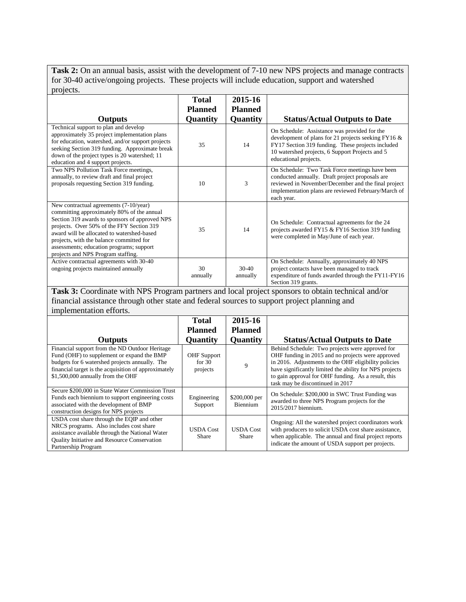**Task 2:** On an annual basis, assist with the development of 7-10 new NPS projects and manage contracts for 30-40 active/ongoing projects. These projects will include education, support and watershed projects.

|                                                                                                                                                                                                                                                                                                                                                                 | <b>Total</b>   | 2015-16             |                                                                                                                                                                                                                                      |
|-----------------------------------------------------------------------------------------------------------------------------------------------------------------------------------------------------------------------------------------------------------------------------------------------------------------------------------------------------------------|----------------|---------------------|--------------------------------------------------------------------------------------------------------------------------------------------------------------------------------------------------------------------------------------|
|                                                                                                                                                                                                                                                                                                                                                                 | <b>Planned</b> | <b>Planned</b>      |                                                                                                                                                                                                                                      |
| <b>Outputs</b>                                                                                                                                                                                                                                                                                                                                                  | Quantity       | Quantity            | <b>Status/Actual Outputs to Date</b>                                                                                                                                                                                                 |
| Technical support to plan and develop<br>approximately 35 project implementation plans<br>for education, watershed, and/or support projects<br>seeking Section 319 funding. Approximate break<br>down of the project types is 20 watershed; 11<br>education and 4 support projects.                                                                             | 35             | 14                  | On Schedule: Assistance was provided for the<br>development of plans for 21 projects seeking FY16 &<br>FY17 Section 319 funding. These projects included<br>10 watershed projects, 6 Support Projects and 5<br>educational projects. |
| Two NPS Pollution Task Force meetings,<br>annually, to review draft and final project<br>proposals requesting Section 319 funding.                                                                                                                                                                                                                              | 10             | 3                   | On Schedule: Two Task Force meetings have been<br>conducted annually. Draft project proposals are<br>reviewed in November/December and the final project<br>implementation plans are reviewed February/March of<br>each year.        |
| New contractual agreements (7-10/year)<br>committing approximately 80% of the annual<br>Section 319 awards to sponsors of approved NPS<br>projects. Over 50% of the FFY Section 319<br>award will be allocated to watershed-based<br>projects, with the balance committed for<br>assessments; education programs; support<br>projects and NPS Program staffing. | 35             | 14                  | On Schedule: Contractual agreements for the 24<br>projects awarded FY15 & FY16 Section 319 funding<br>were completed in May/June of each year.                                                                                       |
| Active contractual agreements with 30-40<br>ongoing projects maintained annually                                                                                                                                                                                                                                                                                | 30<br>annually | $30-40$<br>annually | On Schedule: Annually, approximately 40 NPS<br>project contacts have been managed to track<br>expenditure of funds awarded through the FY11-FY16<br>Section 319 grants.                                                              |

**Task 3:** Coordinate with NPS Program partners and local project sponsors to obtain technical and/or financial assistance through other state and federal sources to support project planning and implementation efforts.

|                                                                                                                                                                                                                                             | <b>Total</b>                        | 2015-16                   |                                                                                                                                                                                                                                                                                                                    |
|---------------------------------------------------------------------------------------------------------------------------------------------------------------------------------------------------------------------------------------------|-------------------------------------|---------------------------|--------------------------------------------------------------------------------------------------------------------------------------------------------------------------------------------------------------------------------------------------------------------------------------------------------------------|
|                                                                                                                                                                                                                                             | <b>Planned</b>                      | <b>Planned</b>            |                                                                                                                                                                                                                                                                                                                    |
| <b>Outputs</b>                                                                                                                                                                                                                              | <b>Quantity</b>                     | <b>Quantity</b>           | <b>Status/Actual Outputs to Date</b>                                                                                                                                                                                                                                                                               |
| Financial support from the ND Outdoor Heritage<br>Fund (OHF) to supplement or expand the BMP<br>budgets for 6 watershed projects annually. The<br>financial target is the acquisition of approximately<br>\$1,500,000 annually from the OHF | OHF Support<br>for $30$<br>projects | 9                         | Behind Schedule: Two projects were approved for<br>OHF funding in 2015 and no projects were approved<br>in 2016. Adjustments to the OHF eligibility policies<br>have significantly limited the ability for NPS projects<br>to gain approval for OHF funding. As a result, this<br>task may be discontinued in 2017 |
| Secure \$200,000 in State Water Commission Trust<br>Funds each biennium to support engineering costs<br>associated with the development of BMP<br>construction designs for NPS projects                                                     | Engineering<br>Support              | \$200,000 per<br>Biennium | On Schedule: \$200,000 in SWC Trust Funding was<br>awarded to three NPS Program projects for the<br>2015/2017 biennium.                                                                                                                                                                                            |
| USDA cost share through the EQIP and other<br>NRCS programs. Also includes cost share<br>assistance available through the National Water<br><b>Ouality Initiative and Resource Conservation</b><br>Partnership Program                      | <b>USDA Cost</b><br>Share           | <b>USDA</b> Cost<br>Share | Ongoing: All the watershed project coordinators work<br>with producers to solicit USDA cost share assistance,<br>when applicable. The annual and final project reports<br>indicate the amount of USDA support per projects.                                                                                        |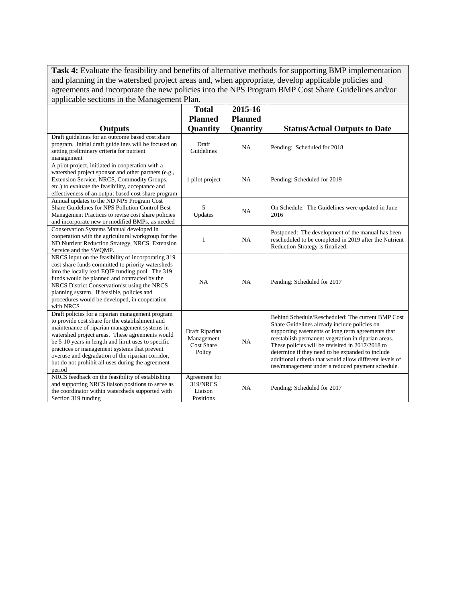**Task 4:** Evaluate the feasibility and benefits of alternative methods for supporting BMP implementation and planning in the watershed project areas and, when appropriate, develop applicable policies and agreements and incorporate the new policies into the NPS Program BMP Cost Share Guidelines and/or applicable sections in the Management Plan.

| repried to be extreme in the main general rain                                                                                                                                                                                                                                                                                                                                                                                    |                                                          |                                              |                                                                                                                                                                                                                                                                                                                                                                                                                                       |
|-----------------------------------------------------------------------------------------------------------------------------------------------------------------------------------------------------------------------------------------------------------------------------------------------------------------------------------------------------------------------------------------------------------------------------------|----------------------------------------------------------|----------------------------------------------|---------------------------------------------------------------------------------------------------------------------------------------------------------------------------------------------------------------------------------------------------------------------------------------------------------------------------------------------------------------------------------------------------------------------------------------|
| <b>Outputs</b>                                                                                                                                                                                                                                                                                                                                                                                                                    | <b>Total</b><br><b>Planned</b><br><b>Quantity</b>        | 2015-16<br><b>Planned</b><br><b>Quantity</b> | <b>Status/Actual Outputs to Date</b>                                                                                                                                                                                                                                                                                                                                                                                                  |
| Draft guidelines for an outcome based cost share<br>program. Initial draft guidelines will be focused on<br>setting preliminary criteria for nutrient<br>management                                                                                                                                                                                                                                                               | Draft<br>Guidelines                                      | NA                                           | Pending: Scheduled for 2018                                                                                                                                                                                                                                                                                                                                                                                                           |
| A pilot project, initiated in cooperation with a<br>watershed project sponsor and other partners (e.g.,<br>Extension Service, NRCS, Commodity Groups,<br>etc.) to evaluate the feasibility, acceptance and<br>effectiveness of an output based cost share program                                                                                                                                                                 | 1 pilot project                                          | <b>NA</b>                                    | Pending: Scheduled for 2019                                                                                                                                                                                                                                                                                                                                                                                                           |
| Annual updates to the ND NPS Program Cost<br>Share Guidelines for NPS Pollution Control Best<br>Management Practices to revise cost share policies<br>and incorporate new or modified BMPs, as needed                                                                                                                                                                                                                             | 5<br>Updates                                             | NA                                           | On Schedule: The Guidelines were updated in June<br>2016                                                                                                                                                                                                                                                                                                                                                                              |
| Conservation Systems Manual developed in<br>cooperation with the agricultural workgroup for the<br>ND Nutrient Reduction Strategy, NRCS, Extension<br>Service and the SWQMP.                                                                                                                                                                                                                                                      | 1                                                        | NA                                           | Postponed: The development of the manual has been<br>rescheduled to be completed in 2019 after the Nutrient<br>Reduction Strategy is finalized.                                                                                                                                                                                                                                                                                       |
| NRCS input on the feasibility of incorporating 319<br>cost share funds committed to priority watersheds<br>into the locally lead EQIP funding pool. The 319<br>funds would be planned and contracted by the<br>NRCS District Conservationist using the NRCS<br>planning system. If feasible, policies and<br>procedures would be developed, in cooperation<br>with NRCS                                                           | NA                                                       | NA                                           | Pending: Scheduled for 2017                                                                                                                                                                                                                                                                                                                                                                                                           |
| Draft policies for a riparian management program<br>to provide cost share for the establishment and<br>maintenance of riparian management systems in<br>watershed project areas. These agreements would<br>be 5-10 years in length and limit uses to specific<br>practices or management systems that prevent<br>overuse and degradation of the riparian corridor,<br>but do not prohibit all uses during the agreement<br>period | Draft Riparian<br>Management<br>Cost Share<br>Policy     | NA                                           | Behind Schedule/Rescheduled: The current BMP Cost<br>Share Guidelines already include policies on<br>supporting easements or long term agreements that<br>reestablish permanent vegetation in riparian areas.<br>These policies will be revisited in 2017/2018 to<br>determine if they need to be expanded to include<br>additional criteria that would allow different levels of<br>use/management under a reduced payment schedule. |
| NRCS feedback on the feasibility of establishing<br>and supporting NRCS liaison positions to serve as<br>the coordinator within watersheds supported with<br>Section 319 funding                                                                                                                                                                                                                                                  | Agreement for<br><b>319/NRCS</b><br>Liaison<br>Positions | NA                                           | Pending: Scheduled for 2017                                                                                                                                                                                                                                                                                                                                                                                                           |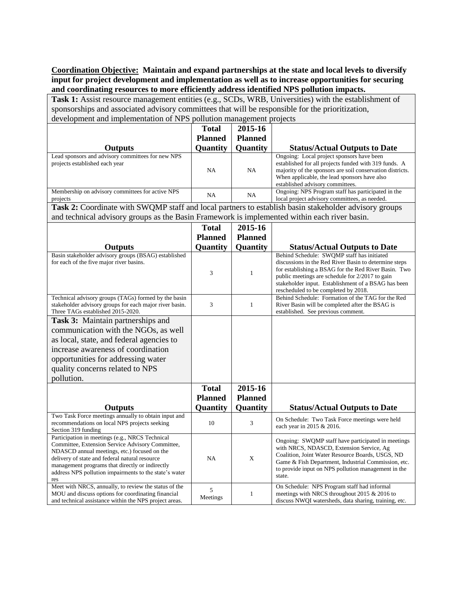**Coordination Objective: Maintain and expand partnerships at the state and local levels to diversify input for project development and implementation as well as to increase opportunities for securing and coordinating resources to more efficiently address identified NPS pollution impacts.**

Task 1: Assist resource management entities (e.g., SCDs, WRB, Universities) with the establishment of sponsorships and associated advisory committees that will be responsible for the prioritization, development and implementation of NPS pollution management projects

|                                                                                                                                                                                                                                                                                                                           | <b>Total</b>   | 2015-16        |                                                                                                                                                                                                                                                                            |
|---------------------------------------------------------------------------------------------------------------------------------------------------------------------------------------------------------------------------------------------------------------------------------------------------------------------------|----------------|----------------|----------------------------------------------------------------------------------------------------------------------------------------------------------------------------------------------------------------------------------------------------------------------------|
|                                                                                                                                                                                                                                                                                                                           | <b>Planned</b> | <b>Planned</b> |                                                                                                                                                                                                                                                                            |
| <b>Outputs</b>                                                                                                                                                                                                                                                                                                            | Quantity       | Quantity       | <b>Status/Actual Outputs to Date</b>                                                                                                                                                                                                                                       |
| Lead sponsors and advisory committees for new NPS<br>projects established each year                                                                                                                                                                                                                                       | NA             | NA             | Ongoing: Local project sponsors have been<br>established for all projects funded with 319 funds. A<br>majority of the sponsors are soil conservation districts.<br>When applicable, the lead sponsors have also<br>established advisory committees.                        |
| Membership on advisory committees for active NPS<br>projects                                                                                                                                                                                                                                                              | NA             | NA             | Ongoing: NPS Program staff has participated in the<br>local project advisory committees, as needed.                                                                                                                                                                        |
| Task 2: Coordinate with SWQMP staff and local partners to establish basin stakeholder advisory groups                                                                                                                                                                                                                     |                |                |                                                                                                                                                                                                                                                                            |
| and technical advisory groups as the Basin Framework is implemented within each river basin.                                                                                                                                                                                                                              |                |                |                                                                                                                                                                                                                                                                            |
|                                                                                                                                                                                                                                                                                                                           | Total          | 2015-16        |                                                                                                                                                                                                                                                                            |
|                                                                                                                                                                                                                                                                                                                           | <b>Planned</b> | <b>Planned</b> |                                                                                                                                                                                                                                                                            |
| <b>Outputs</b>                                                                                                                                                                                                                                                                                                            | Quantity       | Quantity       | <b>Status/Actual Outputs to Date</b>                                                                                                                                                                                                                                       |
| Basin stakeholder advisory groups (BSAG) established                                                                                                                                                                                                                                                                      |                |                | Behind Schedule: SWQMP staff has initiated                                                                                                                                                                                                                                 |
| for each of the five major river basins.                                                                                                                                                                                                                                                                                  | 3              | $\mathbf{1}$   | discussions in the Red River Basin to determine steps<br>for establishing a BSAG for the Red River Basin. Two<br>public meetings are schedule for 2/2017 to gain<br>stakeholder input. Establishment of a BSAG has been<br>rescheduled to be completed by 2018.            |
| Technical advisory groups (TAGs) formed by the basin<br>stakeholder advisory groups for each major river basin.<br>Three TAGs established 2015-2020.                                                                                                                                                                      | 3              | $\mathbf{1}$   | Behind Schedule: Formation of the TAG for the Red<br>River Basin will be completed after the BSAG is<br>established. See previous comment.                                                                                                                                 |
| <b>Task 3:</b> Maintain partnerships and                                                                                                                                                                                                                                                                                  |                |                |                                                                                                                                                                                                                                                                            |
| communication with the NGOs, as well                                                                                                                                                                                                                                                                                      |                |                |                                                                                                                                                                                                                                                                            |
| as local, state, and federal agencies to                                                                                                                                                                                                                                                                                  |                |                |                                                                                                                                                                                                                                                                            |
| increase awareness of coordination                                                                                                                                                                                                                                                                                        |                |                |                                                                                                                                                                                                                                                                            |
| opportunities for addressing water                                                                                                                                                                                                                                                                                        |                |                |                                                                                                                                                                                                                                                                            |
| quality concerns related to NPS                                                                                                                                                                                                                                                                                           |                |                |                                                                                                                                                                                                                                                                            |
| pollution.                                                                                                                                                                                                                                                                                                                |                |                |                                                                                                                                                                                                                                                                            |
|                                                                                                                                                                                                                                                                                                                           |                |                |                                                                                                                                                                                                                                                                            |
|                                                                                                                                                                                                                                                                                                                           | <b>Total</b>   | 2015-16        |                                                                                                                                                                                                                                                                            |
|                                                                                                                                                                                                                                                                                                                           | <b>Planned</b> | <b>Planned</b> |                                                                                                                                                                                                                                                                            |
| <b>Outputs</b>                                                                                                                                                                                                                                                                                                            | Quantity       | Quantity       | <b>Status/Actual Outputs to Date</b>                                                                                                                                                                                                                                       |
| Two Task Force meetings annually to obtain input and<br>recommendations on local NPS projects seeking<br>Section 319 funding                                                                                                                                                                                              | 10             | 3              | On Schedule: Two Task Force meetings were held<br>each year in 2015 & 2016.                                                                                                                                                                                                |
| Participation in meetings (e.g., NRCS Technical<br>Committee, Extension Service Advisory Committee,<br>NDASCD annual meetings, etc.) focused on the<br>delivery of state and federal natural resource<br>management programs that directly or indirectly<br>address NPS pollution impairments to the state's water<br>res | <b>NA</b>      | X              | Ongoing: SWQMP staff have participated in meetings<br>with NRCS, NDASCD, Extension Service, Ag<br>Coalition, Joint Water Resource Boards, USGS, ND<br>Game & Fish Department, Industrial Commission, etc.<br>to provide input on NPS pollution management in the<br>state. |
| Meet with NRCS, annually, to review the status of the<br>MOU and discuss options for coordinating financial<br>and technical assistance within the NPS project areas.                                                                                                                                                     | 5<br>Meetings  | $\mathbf{1}$   | On Schedule: NPS Program staff had informal<br>meetings with NRCS throughout 2015 $& 2016$ to<br>discuss NWQI watersheds, data sharing, training, etc.                                                                                                                     |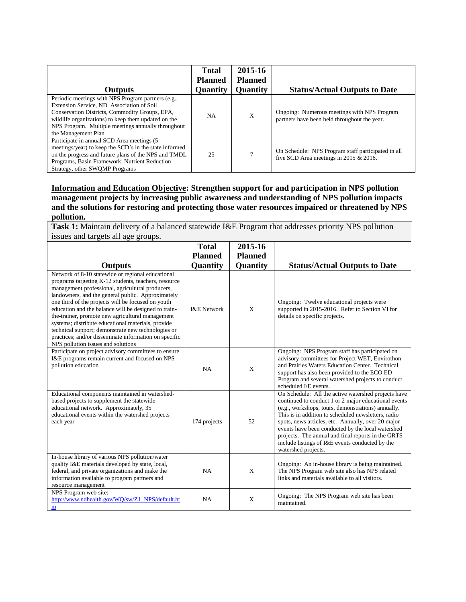| <b>Outputs</b>                                                                                                                                                                                                                                                                        | <b>Total</b><br><b>Planned</b><br><b>Quantity</b> | 2015-16<br><b>Planned</b><br><b>Quantity</b> | <b>Status/Actual Outputs to Date</b>                                                         |
|---------------------------------------------------------------------------------------------------------------------------------------------------------------------------------------------------------------------------------------------------------------------------------------|---------------------------------------------------|----------------------------------------------|----------------------------------------------------------------------------------------------|
| Periodic meetings with NPS Program partners (e.g.,<br>Extension Service, ND Association of Soil<br>Conservation Districts, Commodity Groups, EPA,<br>wildlife organizations) to keep them updated on the<br>NPS Program. Multiple meetings annually throughout<br>the Management Plan | <b>NA</b>                                         | X                                            | Ongoing: Numerous meetings with NPS Program<br>partners have been held throughout the year.  |
| Participate in annual SCD Area meetings (5<br>meetings/year) to keep the SCD's in the state informed<br>on the progress and future plans of the NPS and TMDL<br>Programs, Basin Framework, Nutrient Reduction<br>Strategy, other SWOMP Programs                                       | 25                                                | $\mathcal{L}$                                | On Schedule: NPS Program staff participated in all<br>five SCD Area meetings in 2015 & 2016. |

**Information and Education Objective: Strengthen support for and participation in NPS pollution management projects by increasing public awareness and understanding of NPS pollution impacts and the solutions for restoring and protecting those water resources impaired or threatened by NPS pollution.**

**Task 1:** Maintain delivery of a balanced statewide I&E Program that addresses priority NPS pollution issues and targets all age groups.

|                                                                                                                                                                                                                                                                                                                                                                                                                                                                                                                                                                                                 | <b>Total</b>           | 2015-16        |                                                                                                                                                                                                                                                                                                                                                                                                                                                                     |
|-------------------------------------------------------------------------------------------------------------------------------------------------------------------------------------------------------------------------------------------------------------------------------------------------------------------------------------------------------------------------------------------------------------------------------------------------------------------------------------------------------------------------------------------------------------------------------------------------|------------------------|----------------|---------------------------------------------------------------------------------------------------------------------------------------------------------------------------------------------------------------------------------------------------------------------------------------------------------------------------------------------------------------------------------------------------------------------------------------------------------------------|
|                                                                                                                                                                                                                                                                                                                                                                                                                                                                                                                                                                                                 | <b>Planned</b>         | <b>Planned</b> |                                                                                                                                                                                                                                                                                                                                                                                                                                                                     |
| <b>Outputs</b>                                                                                                                                                                                                                                                                                                                                                                                                                                                                                                                                                                                  | Quantity               | Quantity       | <b>Status/Actual Outputs to Date</b>                                                                                                                                                                                                                                                                                                                                                                                                                                |
| Network of 8-10 statewide or regional educational<br>programs targeting K-12 students, teachers, resource<br>management professional, agricultural producers,<br>landowners, and the general public. Approximately<br>one third of the projects will be focused on youth<br>education and the balance will be designed to train-<br>the-trainer, promote new agricultural management<br>systems; distribute educational materials, provide<br>technical support; demonstrate new technologies or<br>practices; and/or disseminate information on specific<br>NPS pollution issues and solutions | <b>I&amp;E</b> Network | X              | Ongoing: Twelve educational projects were<br>supported in 2015-2016. Refer to Section VI for<br>details on specific projects.                                                                                                                                                                                                                                                                                                                                       |
| Participate on project advisory committees to ensure<br>I&E programs remain current and focused on NPS<br>pollution education                                                                                                                                                                                                                                                                                                                                                                                                                                                                   | <b>NA</b>              | X              | Ongoing: NPS Program staff has participated on<br>advisory committees for Project WET, Envirothon<br>and Prairies Waters Education Center. Technical<br>support has also been provided to the ECO ED<br>Program and several watershed projects to conduct<br>scheduled I/E events.                                                                                                                                                                                  |
| Educational components maintained in watershed-<br>based projects to supplement the statewide<br>educational network. Approximately, 35<br>educational events within the watershed projects<br>each year                                                                                                                                                                                                                                                                                                                                                                                        | 174 projects           | 52             | On Schedule: All the active watershed projects have<br>continued to conduct 1 or 2 major educational events<br>(e.g., workshops, tours, demonstrations) annually.<br>This is in addition to scheduled newsletters, radio<br>spots, news articles, etc. Annually, over 20 major<br>events have been conducted by the local watershed<br>projects. The annual and final reports in the GRTS<br>include listings of I&E events conducted by the<br>watershed projects. |
| In-house library of various NPS pollution/water<br>quality I&E materials developed by state, local,<br>federal, and private organizations and make the<br>information available to program partners and<br>resource management                                                                                                                                                                                                                                                                                                                                                                  | NA                     | X              | Ongoing: An in-house library is being maintained.<br>The NPS Program web site also has NPS related<br>links and materials available to all visitors.                                                                                                                                                                                                                                                                                                                |
| NPS Program web site:<br>http://www.ndhealth.gov/WQ/sw/Z1_NPS/default.ht<br>m                                                                                                                                                                                                                                                                                                                                                                                                                                                                                                                   | <b>NA</b>              | X              | Ongoing: The NPS Program web site has been<br>maintained.                                                                                                                                                                                                                                                                                                                                                                                                           |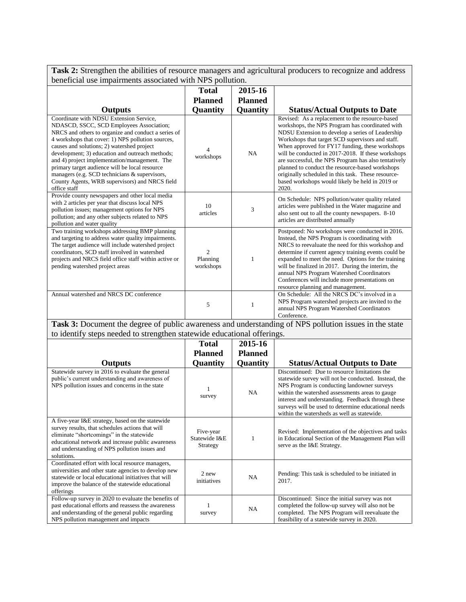**Task 2:** Strengthen the abilities of resource managers and agricultural producers to recognize and address beneficial use impairments associated with NPS pollution.

|                                                                                                                                                                                                                                                                                                                                                                                                                                                                                                                        | <b>Total</b>                            | 2015-16        |                                                                                                                                                                                                                                                                                                                                                                                                                                                                                                                                                  |
|------------------------------------------------------------------------------------------------------------------------------------------------------------------------------------------------------------------------------------------------------------------------------------------------------------------------------------------------------------------------------------------------------------------------------------------------------------------------------------------------------------------------|-----------------------------------------|----------------|--------------------------------------------------------------------------------------------------------------------------------------------------------------------------------------------------------------------------------------------------------------------------------------------------------------------------------------------------------------------------------------------------------------------------------------------------------------------------------------------------------------------------------------------------|
|                                                                                                                                                                                                                                                                                                                                                                                                                                                                                                                        | <b>Planned</b>                          | <b>Planned</b> |                                                                                                                                                                                                                                                                                                                                                                                                                                                                                                                                                  |
|                                                                                                                                                                                                                                                                                                                                                                                                                                                                                                                        |                                         |                |                                                                                                                                                                                                                                                                                                                                                                                                                                                                                                                                                  |
| Outputs                                                                                                                                                                                                                                                                                                                                                                                                                                                                                                                | Quantity                                | Quantity       | <b>Status/Actual Outputs to Date</b>                                                                                                                                                                                                                                                                                                                                                                                                                                                                                                             |
| Coordinate with NDSU Extension Service,<br>NDASCD, SSCC, SCD Employees Association;<br>NRCS and others to organize and conduct a series of<br>4 workshops that cover: 1) NPS pollution sources,<br>causes and solutions; 2) watershed project<br>development; 3) education and outreach methods;<br>and 4) project implementation/management. The<br>primary target audience will be local resource<br>managers (e.g. SCD technicians & supervisors,<br>County Agents, WRB supervisors) and NRCS field<br>office staff | workshops                               | <b>NA</b>      | Revised: As a replacement to the resource-based<br>workshops, the NPS Program has coordinated with<br>NDSU Extension to develop a series of Leadership<br>Workshops that target SCD supervisors and staff.<br>When approved for FY17 funding, these workshops<br>will be conducted in 2017-2018. If these workshops<br>are successful, the NPS Program has also tentatively<br>planned to conduct the resource-based workshops<br>originally scheduled in this task. These resource-<br>based workshops would likely be held in 2019 or<br>2020. |
| Provide county newspapers and other local media<br>with 2 articles per year that discuss local NPS<br>pollution issues; management options for NPS<br>pollution; and any other subjects related to NPS<br>pollution and water quality                                                                                                                                                                                                                                                                                  | 10<br>articles                          | 3              | On Schedule: NPS pollution/water quality related<br>articles were published in the Water magazine and<br>also sent out to all the county newspapers. 8-10<br>articles are distributed annually                                                                                                                                                                                                                                                                                                                                                   |
| Two training workshops addressing BMP planning<br>and targeting to address water quality impairments.<br>The target audience will include watershed project<br>coordinators. SCD staff involved in watershed<br>projects and NRCS field office staff within active or<br>pending watershed project areas                                                                                                                                                                                                               | $\mathfrak{D}$<br>Planning<br>workshops | 1              | Postponed: No workshops were conducted in 2016.<br>Instead, the NPS Program is coordinating with<br>NRCS to reevaluate the need for this workshop and<br>determine if current agency training events could be<br>expanded to meet the need. Options for the training<br>will be finalized in 2017. During the interim, the<br>annual NPS Program Watershed Coordinators<br>Conferences will include more presentations on<br>resource planning and management.                                                                                   |
| Annual watershed and NRCS DC conference                                                                                                                                                                                                                                                                                                                                                                                                                                                                                | 5                                       |                | On Schedule: All the NRCS DC's involved in a<br>NPS Program watershed projects are invited to the<br>annual NPS Program Watershed Coordinators<br>Conference.                                                                                                                                                                                                                                                                                                                                                                                    |

**Task 3:** Document the degree of public awareness and understanding of NPS pollution issues in the state to identify steps needed to strengthen statewide educational offerings.

|                                                                                                                                                                                                                                                                       | <b>Total</b>                           | 2015-16        |                                                                                                                                                                                                                                                                                                                                                                     |
|-----------------------------------------------------------------------------------------------------------------------------------------------------------------------------------------------------------------------------------------------------------------------|----------------------------------------|----------------|---------------------------------------------------------------------------------------------------------------------------------------------------------------------------------------------------------------------------------------------------------------------------------------------------------------------------------------------------------------------|
|                                                                                                                                                                                                                                                                       | <b>Planned</b>                         | <b>Planned</b> |                                                                                                                                                                                                                                                                                                                                                                     |
| <b>Outputs</b>                                                                                                                                                                                                                                                        | Quantity                               | Quantity       | <b>Status/Actual Outputs to Date</b>                                                                                                                                                                                                                                                                                                                                |
| Statewide survey in 2016 to evaluate the general<br>public's current understanding and awareness of<br>NPS pollution issues and concerns in the state                                                                                                                 | survey                                 | <b>NA</b>      | Discontinued: Due to resource limitations the<br>statewide survey will not be conducted. Instead, the<br>NPS Program is conducting landowner surveys<br>within the watershed assessments areas to gauge<br>interest and understanding. Feedback through these<br>surveys will be used to determine educational needs<br>within the watersheds as well as statewide. |
| A five-year I&E strategy, based on the statewide<br>survey results, that schedules actions that will<br>eliminate "shortcomings" in the statewide<br>educational network and increase public awareness<br>and understanding of NPS pollution issues and<br>solutions. | Five-year<br>Statewide I&E<br>Strategy |                | Revised: Implementation of the objectives and tasks<br>in Educational Section of the Management Plan will<br>serve as the I&E Strategy.                                                                                                                                                                                                                             |
| Coordinated effort with local resource managers,<br>universities and other state agencies to develop new<br>statewide or local educational initiatives that will<br>improve the balance of the statewide educational<br>offerings                                     | 2 new<br>initiatives                   | <b>NA</b>      | Pending: This task is scheduled to be initiated in<br>2017.                                                                                                                                                                                                                                                                                                         |
| Follow-up survey in 2020 to evaluate the benefits of<br>past educational efforts and reassess the awareness<br>and understanding of the general public regarding<br>NPS pollution management and impacts                                                              | survey                                 | <b>NA</b>      | Discontinued: Since the initial survey was not<br>completed the follow-up survey will also not be<br>completed. The NPS Program will reevaluate the<br>feasibility of a statewide survey in 2020.                                                                                                                                                                   |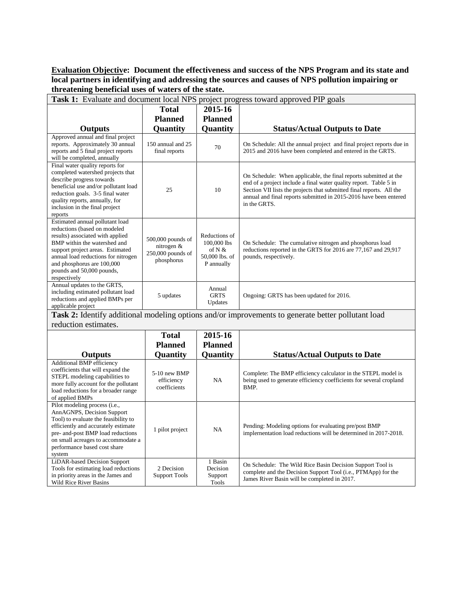#### **Evaluation Objective: Document the effectiveness and success of the NPS Program and its state and local partners in identifying and addressing the sources and causes of NPS pollution impairing or threatening beneficial uses of waters of the state.**

| Task 1: Evaluate and document local NPS project progress toward approved PIP goals                                                                                                                                                                                                        |                                                                    |                                                                        |                                                                                                                                                                                                                                                                                                    |  |  |  |  |
|-------------------------------------------------------------------------------------------------------------------------------------------------------------------------------------------------------------------------------------------------------------------------------------------|--------------------------------------------------------------------|------------------------------------------------------------------------|----------------------------------------------------------------------------------------------------------------------------------------------------------------------------------------------------------------------------------------------------------------------------------------------------|--|--|--|--|
|                                                                                                                                                                                                                                                                                           | <b>Total</b>                                                       | 2015-16                                                                |                                                                                                                                                                                                                                                                                                    |  |  |  |  |
|                                                                                                                                                                                                                                                                                           | <b>Planned</b>                                                     | <b>Planned</b>                                                         |                                                                                                                                                                                                                                                                                                    |  |  |  |  |
| <b>Outputs</b>                                                                                                                                                                                                                                                                            | Quantity                                                           | Quantity                                                               | <b>Status/Actual Outputs to Date</b>                                                                                                                                                                                                                                                               |  |  |  |  |
| Approved annual and final project<br>reports. Approximately 30 annual<br>reports and 5 final project reports<br>will be completed, annually                                                                                                                                               | 150 annual and 25<br>final reports                                 | 70                                                                     | On Schedule: All the annual project and final project reports due in<br>2015 and 2016 have been completed and entered in the GRTS.                                                                                                                                                                 |  |  |  |  |
| Final water quality reports for<br>completed watershed projects that<br>describe progress towards<br>beneficial use and/or pollutant load<br>reduction goals. 3-5 final water<br>quality reports, annually, for<br>inclusion in the final project<br>reports                              | 25                                                                 | 10                                                                     | On Schedule: When applicable, the final reports submitted at the<br>end of a project include a final water quality report. Table 5 in<br>Section VII lists the projects that submitted final reports. All the<br>annual and final reports submitted in 2015-2016 have been entered<br>in the GRTS. |  |  |  |  |
| Estimated annual pollutant load<br>reductions (based on modeled<br>results) associated with applied<br>BMP within the watershed and<br>support project areas. Estimated<br>annual load reductions for nitrogen<br>and phosphorus are 100,000<br>pounds and 50,000 pounds,<br>respectively | 500,000 pounds of<br>nitrogen &<br>250,000 pounds of<br>phosphorus | Reductions of<br>100,000 lbs<br>of N &<br>50,000 lbs. of<br>P annually | On Schedule: The cumulative nitrogen and phosphorus load<br>reductions reported in the GRTS for 2016 are 77,167 and 29,917<br>pounds, respectively.                                                                                                                                                |  |  |  |  |
| Annual updates to the GRTS,<br>including estimated pollutant load<br>reductions and applied BMPs per<br>applicable project                                                                                                                                                                | 5 updates                                                          | Annual<br><b>GRTS</b><br>Updates                                       | Ongoing: GRTS has been updated for 2016.                                                                                                                                                                                                                                                           |  |  |  |  |
|                                                                                                                                                                                                                                                                                           |                                                                    |                                                                        | Task 2: Identify additional modeling options and/or improvements to generate better pollutant load                                                                                                                                                                                                 |  |  |  |  |
| reduction estimates.                                                                                                                                                                                                                                                                      |                                                                    |                                                                        |                                                                                                                                                                                                                                                                                                    |  |  |  |  |
|                                                                                                                                                                                                                                                                                           | <b>Total</b>                                                       | 2015-16                                                                |                                                                                                                                                                                                                                                                                                    |  |  |  |  |
|                                                                                                                                                                                                                                                                                           | <b>Planned</b>                                                     | <b>Planned</b>                                                         |                                                                                                                                                                                                                                                                                                    |  |  |  |  |
| <b>Outputs</b>                                                                                                                                                                                                                                                                            | Quantity                                                           | Quantity                                                               | <b>Status/Actual Outputs to Date</b>                                                                                                                                                                                                                                                               |  |  |  |  |
| <b>Additional BMP efficiency</b><br>coefficients that will expand the<br>STEPL modeling capabilities to<br>more fully account for the pollutant<br>load reductions for a broader range<br>of applied BMPs                                                                                 | 5-10 new BMP<br>efficiency<br>coefficients                         | NA                                                                     | Complete: The BMP efficiency calculator in the STEPL model is<br>being used to generate efficiency coefficients for several cropland<br>BMP.                                                                                                                                                       |  |  |  |  |
| Pilot modeling process (i.e.,<br>AnnAGNPS, Decision Support<br>Tool) to evaluate the feasibility to<br>efficiently and accurately estimate<br>pre- and-post BMP load reductions<br>on small acreages to accommodate a<br>performance based cost share                                     | 1 pilot project                                                    | NA                                                                     | Pending: Modeling options for evaluating pre/post BMP<br>implementation load reductions will be determined in 2017-2018.                                                                                                                                                                           |  |  |  |  |

system

LiDAR-based Decision Support Tools for estimating load reductions in priority areas in the James and Wild Rice River Basins

2 Decision Support Tools

1 Basin Decision Support Tools

On Schedule: The Wild Rice Basin Decision Support Tool is complete and the Decision Support Tool (i.e., PTMApp) for the

James River Basin will be completed in 2017.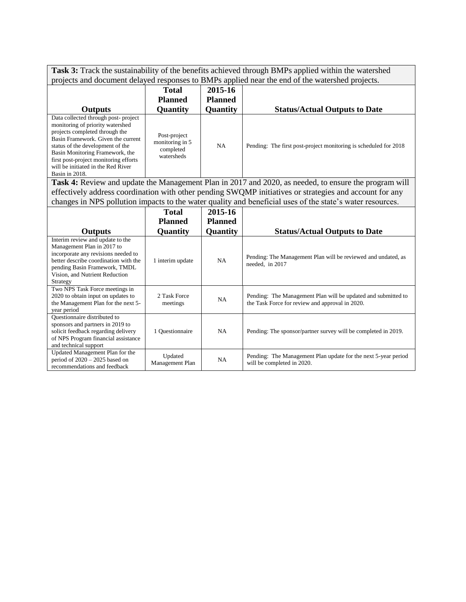**Task 3:** Track the sustainability of the benefits achieved through BMPs applied within the watershed projects and document delayed responses to BMPs applied near the end of the watershed projects.

| <b>Outputs</b>                                                                                                                                                                                                                                                                                                          | <b>Total</b><br><b>Planned</b><br><b>Quantity</b>          | 2015-16<br><b>Planned</b><br><b>Quantity</b> | <b>Status/Actual Outputs to Date</b>                             |
|-------------------------------------------------------------------------------------------------------------------------------------------------------------------------------------------------------------------------------------------------------------------------------------------------------------------------|------------------------------------------------------------|----------------------------------------------|------------------------------------------------------------------|
| Data collected through post-project<br>monitoring of priority watershed<br>projects completed through the<br>Basin Framework. Given the current<br>status of the development of the<br>Basin Monitoring Framework, the<br>first post-project monitoring efforts<br>will be initiated in the Red River<br>Basin in 2018. | Post-project<br>monitoring in 5<br>completed<br>watersheds | <b>NA</b>                                    | Pending: The first post-project monitoring is scheduled for 2018 |

**Task 4:** Review and update the Management Plan in 2017 and 2020, as needed, to ensure the program will effectively address coordination with other pending SWQMP initiatives or strategies and account for any changes in NPS pollution impacts to the water quality and beneficial uses of the state's water resources.

|                                                                                                                                                                                                                               | <b>Total</b><br><b>Planned</b> | 2015-16<br>Planned |                                                                                                                  |
|-------------------------------------------------------------------------------------------------------------------------------------------------------------------------------------------------------------------------------|--------------------------------|--------------------|------------------------------------------------------------------------------------------------------------------|
| <b>Outputs</b>                                                                                                                                                                                                                | <b>Quantity</b>                | <b>Quantity</b>    | <b>Status/Actual Outputs to Date</b>                                                                             |
| Interim review and update to the<br>Management Plan in 2017 to<br>incorporate any revisions needed to<br>better describe coordination with the<br>pending Basin Framework, TMDL<br>Vision, and Nutrient Reduction<br>Strategy | 1 interim update               | NA.                | Pending: The Management Plan will be reviewed and undated, as<br>needed, in 2017                                 |
| Two NPS Task Force meetings in<br>2020 to obtain input on updates to<br>the Management Plan for the next 5-<br>year period                                                                                                    | 2 Task Force<br>meetings       | NA.                | Pending: The Management Plan will be updated and submitted to<br>the Task Force for review and approval in 2020. |
| Questionnaire distributed to<br>sponsors and partners in 2019 to<br>solicit feedback regarding delivery<br>of NPS Program financial assistance<br>and technical support                                                       | 1 Questionnaire                | <b>NA</b>          | Pending: The sponsor/partner survey will be completed in 2019.                                                   |
| Updated Management Plan for the<br>period of $2020 - 2025$ based on<br>recommendations and feedback                                                                                                                           | Updated<br>Management Plan     | <b>NA</b>          | Pending: The Management Plan update for the next 5-year period<br>will be completed in 2020.                     |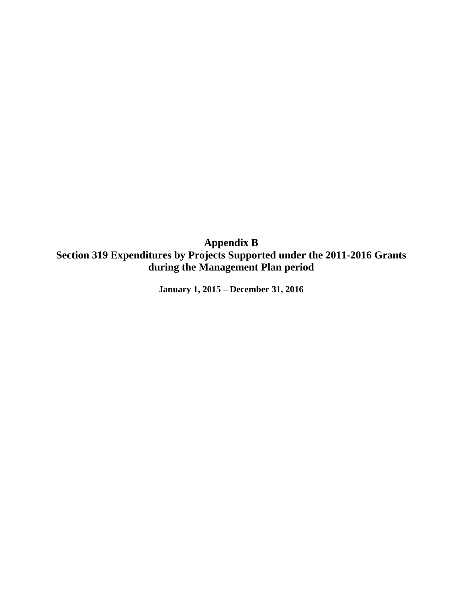**Appendix B Section 319 Expenditures by Projects Supported under the 2011-2016 Grants during the Management Plan period**

**January 1, 2015 – December 31, 2016**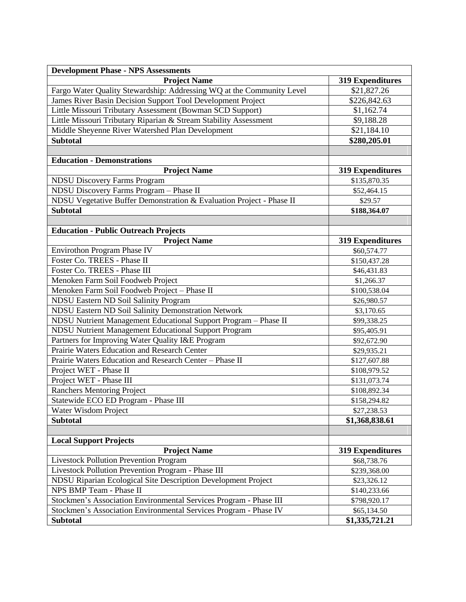| <b>Development Phase - NPS Assessments</b>                            |                         |
|-----------------------------------------------------------------------|-------------------------|
| <b>Project Name</b>                                                   | <b>319 Expenditures</b> |
| Fargo Water Quality Stewardship: Addressing WQ at the Community Level | $\overline{$}21,827.26$ |
| James River Basin Decision Support Tool Development Project           | \$226,842.63            |
| Little Missouri Tributary Assessment (Bowman SCD Support)             | \$1,162.74              |
| Little Missouri Tributary Riparian & Stream Stability Assessment      | \$9,188.28              |
| Middle Sheyenne River Watershed Plan Development                      | \$21,184.10             |
| <b>Subtotal</b>                                                       | \$280,205.01            |
|                                                                       |                         |
| <b>Education - Demonstrations</b>                                     |                         |
| <b>Project Name</b>                                                   | <b>319 Expenditures</b> |
| <b>NDSU Discovery Farms Program</b>                                   | \$135,870.35            |
| NDSU Discovery Farms Program - Phase II                               | \$52,464.15             |
| NDSU Vegetative Buffer Demonstration & Evaluation Project - Phase II  | \$29.57                 |
| <b>Subtotal</b>                                                       | \$188,364.07            |
|                                                                       |                         |
| <b>Education - Public Outreach Projects</b>                           |                         |
| <b>Project Name</b>                                                   | <b>319 Expenditures</b> |
| Envirothon Program Phase IV                                           | \$60,574.77             |
| Foster Co. TREES - Phase II                                           | \$150,437.28            |
| Foster Co. TREES - Phase III                                          | \$46,431.83             |
| Menoken Farm Soil Foodweb Project                                     | \$1,266.37              |
| Menoken Farm Soil Foodweb Project - Phase II                          | \$100,538.04            |
| <b>NDSU Eastern ND Soil Salinity Program</b>                          | \$26,980.57             |
| NDSU Eastern ND Soil Salinity Demonstration Network                   | \$3,170.65              |
| NDSU Nutrient Management Educational Support Program - Phase II       | \$99,338.25             |
| NDSU Nutrient Management Educational Support Program                  | \$95,405.91             |
| Partners for Improving Water Quality I&E Program                      | \$92,672.90             |
| Prairie Waters Education and Research Center                          | \$29,935.21             |
| Prairie Waters Education and Research Center - Phase II               | \$127,607.88            |
| Project WET - Phase II                                                | \$108,979.52            |
| Project WET - Phase III                                               | \$131,073.74            |
| <b>Ranchers Mentoring Project</b>                                     | \$108,892.34            |
| Statewide ECO ED Program - Phase III                                  | \$158,294.82            |
| Water Wisdom Project                                                  | \$27,238.53             |
| <b>Subtotal</b>                                                       | \$1,368,838.61          |
|                                                                       |                         |
| <b>Local Support Projects</b>                                         |                         |
| <b>Project Name</b>                                                   | <b>319 Expenditures</b> |
| <b>Livestock Pollution Prevention Program</b>                         | \$68,738.76             |
| Livestock Pollution Prevention Program - Phase III                    | \$239,368.00            |
| NDSU Riparian Ecological Site Description Development Project         | \$23,326.12             |
| NPS BMP Team - Phase II                                               | \$140,233.66            |
| Stockmen's Association Environmental Services Program - Phase III     | \$798,920.17            |
| Stockmen's Association Environmental Services Program - Phase IV      | \$65,134.50             |
| <b>Subtotal</b>                                                       | \$1,335,721.21          |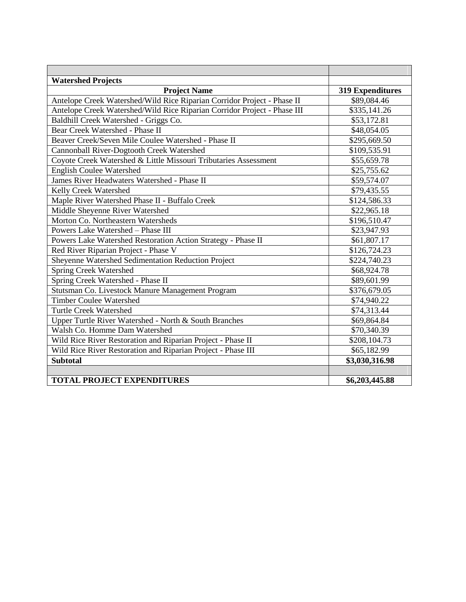| <b>Watershed Projects</b>                                                |                         |
|--------------------------------------------------------------------------|-------------------------|
| <b>Project Name</b>                                                      | <b>319 Expenditures</b> |
| Antelope Creek Watershed/Wild Rice Riparian Corridor Project - Phase II  | \$89,084.46             |
| Antelope Creek Watershed/Wild Rice Riparian Corridor Project - Phase III | \$335,141.26            |
| Baldhill Creek Watershed - Griggs Co.                                    | \$53,172.81             |
| Bear Creek Watershed - Phase II                                          | \$48,054.05             |
| Beaver Creek/Seven Mile Coulee Watershed - Phase II                      | \$295,669.50            |
| Cannonball River-Dogtooth Creek Watershed                                | \$109,535.91            |
| Coyote Creek Watershed & Little Missouri Tributaries Assessment          | \$55,659.78             |
| <b>English Coulee Watershed</b>                                          | \$25,755.62             |
| James River Headwaters Watershed - Phase II                              | \$59,574.07             |
| Kelly Creek Watershed                                                    | \$79,435.55             |
| Maple River Watershed Phase II - Buffalo Creek                           | \$124,586.33            |
| Middle Sheyenne River Watershed                                          | \$22,965.18             |
| Morton Co. Northeastern Watersheds                                       | \$196,510.47            |
| Powers Lake Watershed - Phase III                                        | \$23,947.93             |
| Powers Lake Watershed Restoration Action Strategy - Phase II             | \$61,807.17             |
| Red River Riparian Project - Phase V                                     | \$126,724.23            |
| Sheyenne Watershed Sedimentation Reduction Project                       | \$224,740.23            |
| <b>Spring Creek Watershed</b>                                            | \$68,924.78             |
| Spring Creek Watershed - Phase II                                        | \$89,601.99             |
| Stutsman Co. Livestock Manure Management Program                         | \$376,679.05            |
| <b>Timber Coulee Watershed</b>                                           | \$74,940.22             |
| <b>Turtle Creek Watershed</b>                                            | \$74,313.44             |
| Upper Turtle River Watershed - North & South Branches                    | \$69,864.84             |
| Walsh Co. Homme Dam Watershed                                            | \$70,340.39             |
| Wild Rice River Restoration and Riparian Project - Phase II              | \$208,104.73            |
| Wild Rice River Restoration and Riparian Project - Phase III             | \$65,182.99             |
| <b>Subtotal</b>                                                          | \$3,030,316.98          |
|                                                                          |                         |
| <b>TOTAL PROJECT EXPENDITURES</b>                                        | \$6,203,445.88          |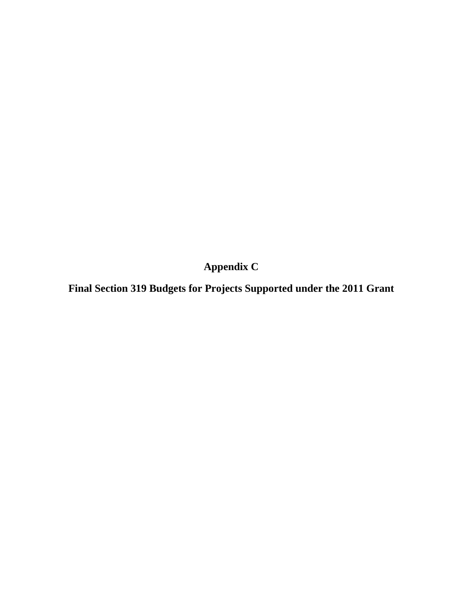**Appendix C**

**Final Section 319 Budgets for Projects Supported under the 2011 Grant**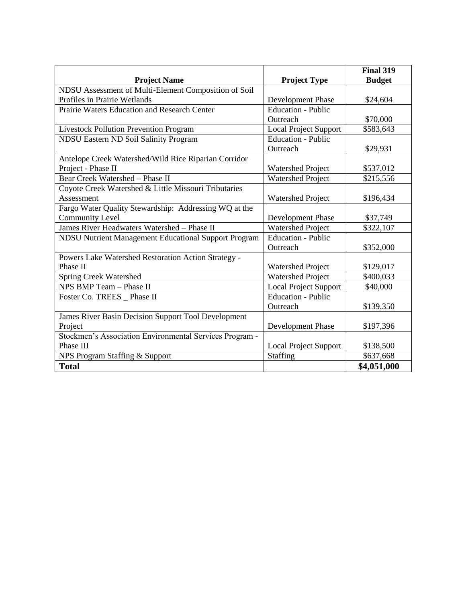|                                                         |                              | <b>Final 319</b> |
|---------------------------------------------------------|------------------------------|------------------|
| <b>Project Name</b>                                     | <b>Project Type</b>          | <b>Budget</b>    |
| NDSU Assessment of Multi-Element Composition of Soil    |                              |                  |
| Profiles in Prairie Wetlands                            | Development Phase            | \$24,604         |
| Prairie Waters Education and Research Center            | <b>Education - Public</b>    |                  |
|                                                         | Outreach                     | \$70,000         |
| <b>Livestock Pollution Prevention Program</b>           | <b>Local Project Support</b> | \$583,643        |
| NDSU Eastern ND Soil Salinity Program                   | <b>Education - Public</b>    |                  |
|                                                         | Outreach                     | \$29,931         |
| Antelope Creek Watershed/Wild Rice Riparian Corridor    |                              |                  |
| Project - Phase II                                      | <b>Watershed Project</b>     | \$537,012        |
| Bear Creek Watershed - Phase II                         | <b>Watershed Project</b>     | \$215,556        |
| Coyote Creek Watershed & Little Missouri Tributaries    |                              |                  |
| Assessment                                              | <b>Watershed Project</b>     | \$196,434        |
| Fargo Water Quality Stewardship: Addressing WQ at the   |                              |                  |
| <b>Community Level</b>                                  | Development Phase            | \$37,749         |
| James River Headwaters Watershed - Phase II             | <b>Watershed Project</b>     | \$322,107        |
| NDSU Nutrient Management Educational Support Program    | <b>Education - Public</b>    |                  |
|                                                         | Outreach                     | \$352,000        |
| Powers Lake Watershed Restoration Action Strategy -     |                              |                  |
| Phase II                                                | <b>Watershed Project</b>     | \$129,017        |
| <b>Spring Creek Watershed</b>                           | <b>Watershed Project</b>     | \$400,033        |
| NPS BMP Team - Phase II                                 | <b>Local Project Support</b> | \$40,000         |
| Foster Co. TREES _ Phase II                             | <b>Education - Public</b>    |                  |
|                                                         | Outreach                     | \$139,350        |
| James River Basin Decision Support Tool Development     |                              |                  |
| Project                                                 | Development Phase            | \$197,396        |
| Stockmen's Association Environmental Services Program - |                              |                  |
| Phase III                                               | <b>Local Project Support</b> | \$138,500        |
| NPS Program Staffing & Support                          | Staffing                     | \$637,668        |
| <b>Total</b>                                            |                              | \$4,051,000      |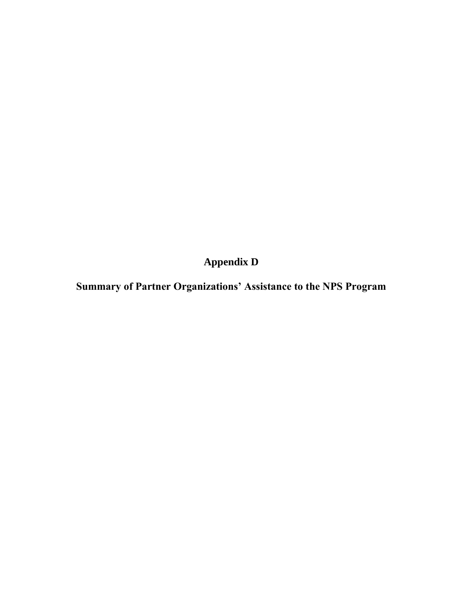**Appendix D**

**Summary of Partner Organizations' Assistance to the NPS Program**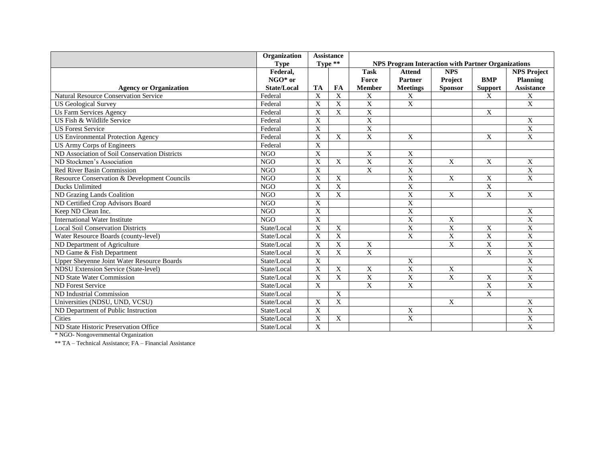|                                               | Organization       |                       | <b>Assistance</b> |                         |                                                           |                |                |                         |
|-----------------------------------------------|--------------------|-----------------------|-------------------|-------------------------|-----------------------------------------------------------|----------------|----------------|-------------------------|
|                                               | <b>Type</b>        |                       | Type **           |                         | <b>NPS Program Interaction with Partner Organizations</b> |                |                |                         |
|                                               | Federal,           |                       |                   | <b>Task</b>             | <b>Attend</b>                                             | <b>NPS</b>     |                | <b>NPS Project</b>      |
|                                               | $NGO*$ or          |                       |                   | Force                   | Partner                                                   | Project        | <b>BMP</b>     | <b>Planning</b>         |
| <b>Agency or Organization</b>                 | <b>State/Local</b> | <b>TA</b>             | <b>FA</b>         | <b>Member</b>           | <b>Meetings</b>                                           | <b>Sponsor</b> | <b>Support</b> | <b>Assistance</b>       |
| <b>Natural Resource Conservation Service</b>  | Federal            | X                     | X                 | $\mathbf X$             | X                                                         |                | X              | $\mathbf X$             |
| <b>US Geological Survey</b>                   | Federal            | $\overline{X}$        | $\mathbf X$       | $\overline{\mathbf{X}}$ | $\overline{\mathbf{X}}$                                   |                |                | $\overline{X}$          |
| Us Farm Services Agency                       | Federal            | X                     | $\mathbf X$       | $\overline{X}$          |                                                           |                | X              |                         |
| US Fish & Wildlife Service                    | Federal            | X                     |                   | X                       |                                                           |                |                | X                       |
| <b>US Forest Service</b>                      | Federal            | $\mathbf X$           |                   | $\mathbf X$             |                                                           |                |                | $\overline{\mathbf{X}}$ |
| <b>US Environmental Protection Agency</b>     | Federal            | $\mathbf X$           | $\mathbf{X}$      | $\overline{X}$          | X                                                         |                | X              | $\mathbf X$             |
| US Army Corps of Engineers                    | Federal            | $\overline{X}$        |                   |                         |                                                           |                |                |                         |
| ND Association of Soil Conservation Districts | <b>NGO</b>         | X                     |                   | X                       | X                                                         |                |                |                         |
| ND Stockmen's Association                     | <b>NGO</b>         | X                     | X                 | $\mathbf X$             | $\mathbf X$                                               | X              | X              | X                       |
| <b>Red River Basin Commission</b>             | <b>NGO</b>         | $\mathbf{X}$          |                   | $\overline{X}$          | $\overline{X}$                                            |                |                | $\overline{X}$          |
| Resource Conservation & Development Councils  | N <sub>G</sub> O   | $\overline{\text{X}}$ | $\mathbf X$       |                         | $\overline{X}$                                            | X              | $\overline{X}$ | $\overline{X}$          |
| Ducks Unlimited                               | <b>NGO</b>         | X                     | X                 |                         | $\mathbf X$                                               |                | X              |                         |
| ND Grazing Lands Coalition                    | <b>NGO</b>         | $\mathbf X$           | $\mathbf X$       |                         | $\overline{X}$                                            | $\overline{X}$ | $\overline{X}$ | $\boldsymbol{X}$        |
| ND Certified Crop Advisors Board              | <b>NGO</b>         | $\overline{X}$        |                   |                         | $\overline{\mathbf{X}}$                                   |                |                |                         |
| Keep ND Clean Inc.                            | N <sub>G</sub> O   | $\overline{X}$        |                   |                         | $\overline{X}$                                            |                |                | $\overline{X}$          |
| <b>International Water Institute</b>          | <b>NGO</b>         | $\mathbf X$           |                   |                         | $\overline{\mathbf{X}}$                                   | X              |                | $\overline{\mathbf{X}}$ |
| <b>Local Soil Conservation Districts</b>      | State/Local        | X                     | X                 |                         | $\mathbf X$                                               | X              | X              | $\mathbf{X}$            |
| Water Resource Boards (county-level)          | State/Local        | X                     | X                 |                         | $\mathbf X$                                               | $\mathbf X$    | X              | $\mathbf X$             |
| ND Department of Agriculture                  | State/Local        | X                     | X                 | X                       |                                                           | X              | $\mathbf X$    | $\overline{X}$          |
| ND Game & Fish Department                     | State/Local        | $\mathbf X$           | $\mathbf X$       | $\overline{X}$          |                                                           |                | $\mathbf X$    | $\overline{X}$          |
| Upper Sheyenne Joint Water Resource Boards    | State/Local        | $\mathbf X$           |                   |                         | X                                                         |                |                | $\overline{X}$          |
| <b>NDSU Extension Service (State-level)</b>   | State/Local        | X                     | X                 | $\mathbf X$             | $\mathbf X$                                               | $\mathbf X$    |                | $\overline{X}$          |
| ND State Water Commission                     | State/Local        | X                     | $\overline{X}$    | $\overline{X}$          | $\overline{X}$                                            | $\overline{X}$ | X              | $\overline{X}$          |
| ND Forest Service                             | State/Local        | X                     |                   | X                       | X                                                         |                | $\mathbf X$    | $\overline{X}$          |
| ND Industrial Commission                      | State/Local        |                       | $\overline{X}$    |                         |                                                           |                | $\mathbf{X}$   |                         |
| Universities (NDSU, UND, VCSU)                | State/Local        | X                     | X                 |                         |                                                           | X              |                | $\mathbf X$             |
| ND Department of Public Instruction           | State/Local        | $\boldsymbol{X}$      |                   |                         | X                                                         |                |                | $\mathbf X$             |
| Cities                                        | State/Local        | X                     | X                 |                         | $\overline{X}$                                            |                |                | $\mathbf X$             |
| ND State Historic Preservation Office         | State/Local        | X                     |                   |                         |                                                           |                |                | X                       |

\* NGO- Nongovernmental Organization

\*\* TA – Technical Assistance; FA – Financial Assistance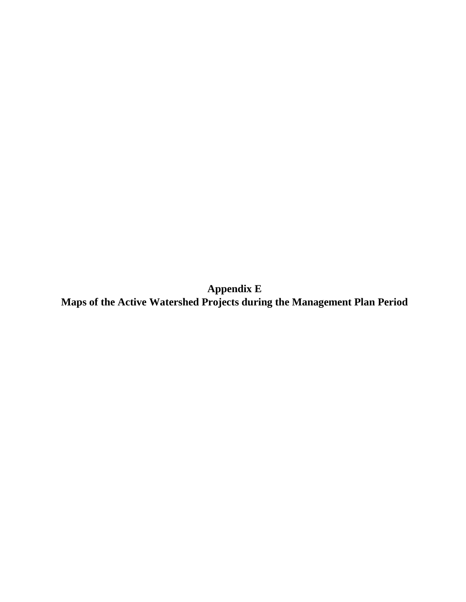**Appendix E Maps of the Active Watershed Projects during the Management Plan Period**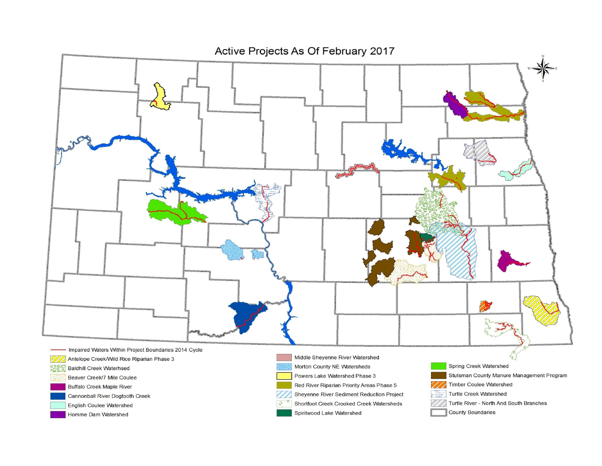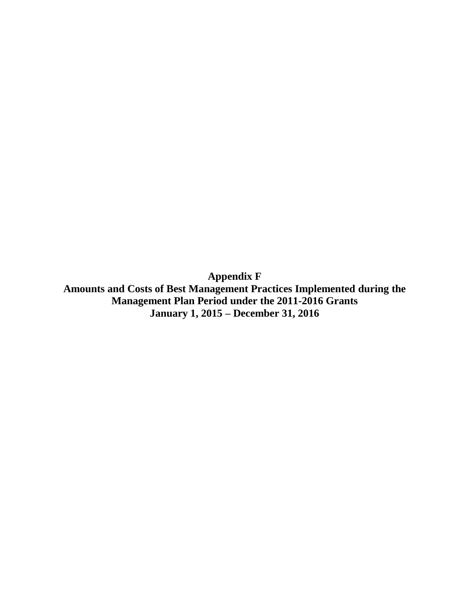**Appendix F Amounts and Costs of Best Management Practices Implemented during the Management Plan Period under the 2011-2016 Grants**

**January 1, 2015 – December 31, 2016**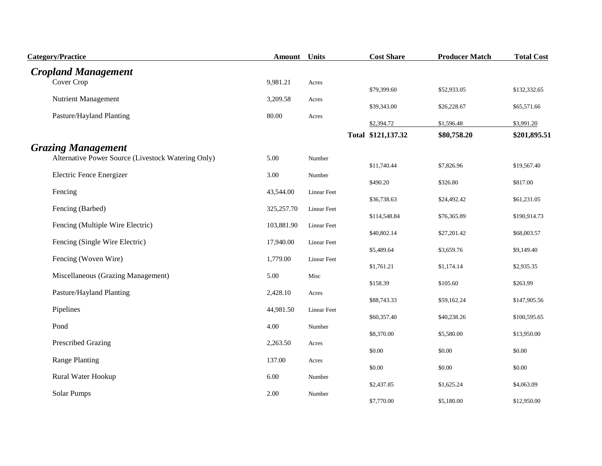| <b>Category/Practice</b>                           | <b>Amount</b> Units |             | <b>Cost Share</b>  | <b>Producer Match</b> | <b>Total Cost</b> |
|----------------------------------------------------|---------------------|-------------|--------------------|-----------------------|-------------------|
| <b>Cropland Management</b>                         |                     |             |                    |                       |                   |
| Cover Crop                                         | 9,981.21            | Acres       | \$79,399.60        | \$52,933.05           | \$132,332.65      |
| <b>Nutrient Management</b>                         | 3,209.58            | Acres       | \$39,343.00        | \$26,228.67           | \$65,571.66       |
| Pasture/Hayland Planting                           | 80.00               | Acres       | \$2,394.72         | \$1,596.48            | \$3,991.20        |
|                                                    |                     |             | Total \$121,137.32 | \$80,758.20           | \$201,895.51      |
| <b>Grazing Management</b>                          |                     |             |                    |                       |                   |
| Alternative Power Source (Livestock Watering Only) | 5.00                | Number      | \$11,740.44        | \$7,826.96            | \$19,567.40       |
| Electric Fence Energizer                           | 3.00                | Number      | \$490.20           | \$326.80              | \$817.00          |
| Fencing                                            | 43,544.00           | Linear Feet | \$36,738.63        | \$24,492.42           | \$61,231.05       |
| Fencing (Barbed)                                   | 325,257.70          | Linear Feet | \$114,548.84       | \$76,365.89           | \$190,914.73      |
| Fencing (Multiple Wire Electric)                   | 103,881.90          | Linear Feet |                    |                       |                   |
| Fencing (Single Wire Electric)                     | 17,940.00           | Linear Feet | \$40,802.14        | \$27,201.42           | \$68,003.57       |
| Fencing (Woven Wire)                               | 1,779.00            | Linear Feet | \$5,489.64         | \$3,659.76            | \$9,149.40        |
| Miscellaneous (Grazing Management)                 | 5.00                |             | \$1,761.21         | \$1,174.14            | \$2,935.35        |
|                                                    |                     | Misc        | \$158.39           | \$105.60              | \$263.99          |
| Pasture/Hayland Planting                           | 2,428.10            | Acres       | \$88,743.33        | \$59,162.24           | \$147,905.56      |
| Pipelines                                          | 44,981.50           | Linear Feet | \$60,357.40        | \$40,238.26           | \$100,595.65      |
| Pond                                               | 4.00                | Number      | \$8,370.00         | \$5,580.00            | \$13,950.00       |
| Prescribed Grazing                                 | 2,263.50            | Acres       |                    |                       |                   |
| <b>Range Planting</b>                              | 137.00              | Acres       | \$0.00             | \$0.00                | \$0.00            |
|                                                    |                     |             | \$0.00             | \$0.00                | \$0.00            |
| Rural Water Hookup                                 | 6.00                | Number      | \$2,437.85         | \$1,625.24            | \$4,063.09        |
| Solar Pumps                                        | 2.00                | Number      | \$7,770.00         | \$5,180.00            | \$12,950.00       |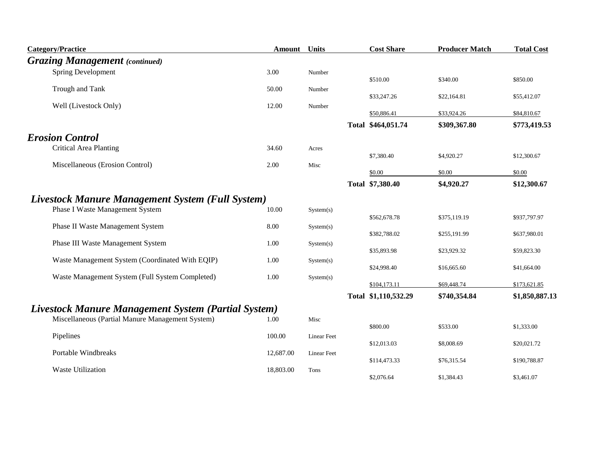| <b>Category/Practice</b>                                   | Amount    | <b>Units</b>       | <b>Cost Share</b>    | <b>Producer Match</b> | <b>Total Cost</b> |
|------------------------------------------------------------|-----------|--------------------|----------------------|-----------------------|-------------------|
| <b>Grazing Management</b> (continued)                      |           |                    |                      |                       |                   |
| <b>Spring Development</b>                                  | 3.00      | Number             |                      |                       |                   |
| Trough and Tank                                            | 50.00     | Number             | \$510.00             | \$340.00              | \$850.00          |
|                                                            |           |                    | \$33,247.26          | \$22,164.81           | \$55,412.07       |
| Well (Livestock Only)                                      | 12.00     | Number             | \$50,886.41          | \$33,924.26           | \$84,810.67       |
|                                                            |           |                    | Total \$464,051.74   | \$309,367.80          | \$773,419.53      |
| <b>Erosion Control</b>                                     |           |                    |                      |                       |                   |
| <b>Critical Area Planting</b>                              | 34.60     | Acres              |                      |                       |                   |
| Miscellaneous (Erosion Control)                            | 2.00      | Misc               | \$7,380.40           | \$4,920.27            | \$12,300.67       |
|                                                            |           |                    | \$0.00               | \$0.00                | \$0.00            |
|                                                            |           |                    | Total \$7,380.40     | \$4,920.27            | \$12,300.67       |
| Livestock Manure Management System (Full System)           |           |                    |                      |                       |                   |
| Phase I Waste Management System                            | 10.00     | System(s)          |                      |                       |                   |
| Phase II Waste Management System                           | 8.00      | System(s)          | \$562,678.78         | \$375,119.19          | \$937,797.97      |
|                                                            |           |                    | \$382,788.02         | \$255,191.99          | \$637,980.01      |
| Phase III Waste Management System                          | 1.00      | System(s)          | \$35,893.98          | \$23,929.32           | \$59,823.30       |
| Waste Management System (Coordinated With EQIP)            | 1.00      | System(s)          |                      |                       |                   |
| Waste Management System (Full System Completed)            | 1.00      | System(s)          | \$24,998.40          | \$16,665.60           | \$41,664.00       |
|                                                            |           |                    | \$104,173.11         | \$69,448.74           | \$173,621.85      |
|                                                            |           |                    | Total \$1,110,532.29 | \$740,354.84          | \$1,850,887.13    |
| <b>Livestock Manure Management System (Partial System)</b> |           |                    |                      |                       |                   |
| Miscellaneous (Partial Manure Management System)           | 1.00      | Misc               | \$800.00             | \$533.00              | \$1,333.00        |
| Pipelines                                                  | 100.00    | <b>Linear Feet</b> |                      |                       |                   |
| Portable Windbreaks                                        |           |                    | \$12,013.03          | \$8,008.69            | \$20,021.72       |
|                                                            | 12,687.00 | Linear Feet        | \$114,473.33         | \$76,315.54           | \$190,788.87      |
| <b>Waste Utilization</b>                                   | 18,803.00 | Tons               |                      |                       |                   |
|                                                            |           |                    | \$2,076.64           | \$1,384.43            | \$3,461.07        |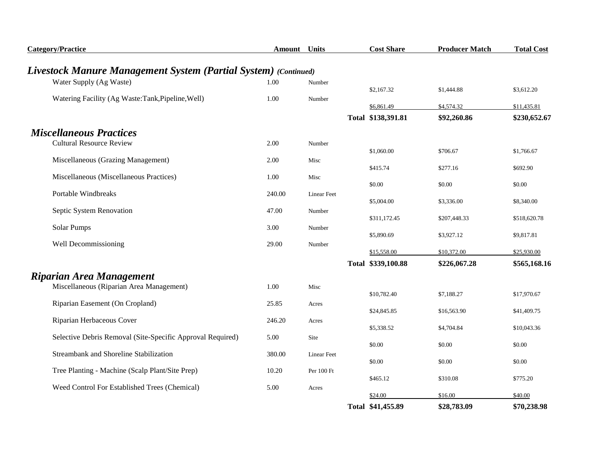| <b>Category/Practice</b>                                        | <b>Amount</b> Units |                    | <b>Cost Share</b>  | <b>Producer Match</b> | <b>Total Cost</b> |
|-----------------------------------------------------------------|---------------------|--------------------|--------------------|-----------------------|-------------------|
| Livestock Manure Management System (Partial System) (Continued) |                     |                    |                    |                       |                   |
| Water Supply (Ag Waste)                                         | 1.00                | Number             |                    |                       |                   |
|                                                                 |                     |                    | \$2,167.32         | \$1,444.88            | \$3,612.20        |
| Watering Facility (Ag Waste:Tank, Pipeline, Well)               | 1.00                | Number             | \$6,861.49         | \$4,574.32            | \$11,435.81       |
|                                                                 |                     |                    | Total \$138,391.81 | \$92,260.86           | \$230,652.67      |
| <b>Miscellaneous Practices</b>                                  |                     |                    |                    |                       |                   |
| <b>Cultural Resource Review</b>                                 | 2.00                | Number             |                    |                       |                   |
|                                                                 |                     |                    | \$1,060.00         | \$706.67              | \$1,766.67        |
| Miscellaneous (Grazing Management)                              | 2.00                | Misc               | \$415.74           | \$277.16              | \$692.90          |
| Miscellaneous (Miscellaneous Practices)                         | 1.00                | Misc               |                    |                       |                   |
| <b>Portable Windbreaks</b>                                      | 240.00              |                    | \$0.00             | \$0.00                | \$0.00            |
|                                                                 |                     | <b>Linear Feet</b> | \$5,004.00         | \$3,336.00            | \$8,340.00        |
| Septic System Renovation                                        | 47.00               | Number             |                    |                       |                   |
| Solar Pumps                                                     | 3.00                | Number             | \$311,172.45       | \$207,448.33          | \$518,620.78      |
|                                                                 |                     |                    | \$5,890.69         | \$3,927.12            | \$9,817.81        |
| Well Decommissioning                                            | 29.00               | Number             |                    |                       |                   |
|                                                                 |                     |                    | \$15,558.00        | \$10,372.00           | \$25,930.00       |
|                                                                 |                     |                    | Total \$339,100.88 | \$226,067.28          | \$565,168.16      |
| Riparian Area Management                                        |                     |                    |                    |                       |                   |
| Miscellaneous (Riparian Area Management)                        | 1.00                | Misc               | \$10,782.40        | \$7,188.27            | \$17,970.67       |
| Riparian Easement (On Cropland)                                 | 25.85               | Acres              |                    |                       |                   |
|                                                                 |                     |                    | \$24,845.85        | \$16,563.90           | \$41,409.75       |
| Riparian Herbaceous Cover                                       | 246.20              | Acres              | \$5,338.52         | \$4,704.84            | \$10,043.36       |
| Selective Debris Removal (Site-Specific Approval Required)      | 5.00                | Site               |                    |                       |                   |
|                                                                 |                     |                    | \$0.00             | \$0.00                | \$0.00            |
| Streambank and Shoreline Stabilization                          | 380.00              | <b>Linear Feet</b> | \$0.00             | \$0.00                | \$0.00            |
| Tree Planting - Machine (Scalp Plant/Site Prep)                 | 10.20               | Per 100 Ft         |                    |                       |                   |
|                                                                 |                     |                    | \$465.12           | \$310.08              | \$775.20          |
| Weed Control For Established Trees (Chemical)                   | 5.00                | Acres              | \$24.00            | \$16.00               | \$40.00           |
|                                                                 |                     |                    | Total \$41,455.89  | \$28,783.09           | \$70,238.98       |